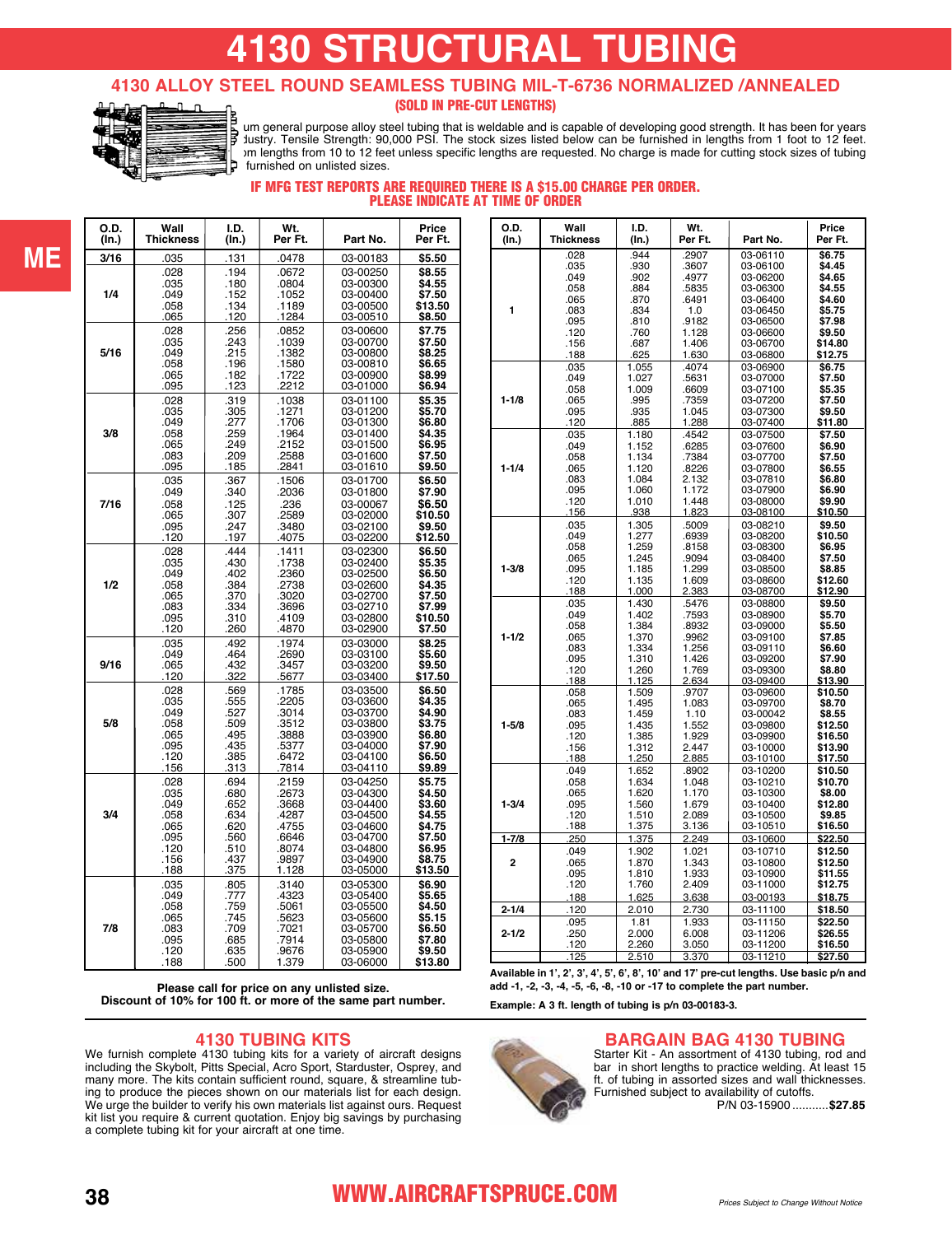# **4130 STRUCTURAL TUBING**

#### **4130 ALLOY STEEL ROUND SEAMLESS TUBING MIL-T-6736 NORMALIZED /ANNEALED**  (SOLD IN PRE-CUT LENGTHS)



**ME**

**4130 is a chromium-model purpose alloy steel tubing that is weldable and is capable of developing good strength. It has been for years the standard of the standard of the standard of the aircraft industry.** Tensile Strength: 90,000 PSI. The stock sizes listed below can be furnished in lengths from 1 foot to 12 feet. Large orders are filled in random 10 to 12 feet unless specific lengths are requested. No charge is made for cutting stock sizes of tubing furnished on unlisted sizes.

#### IF MFG TEST REPORTS ARE REQUIRED THERE IS A \$15.00 CHARGE PER ORDER. PLEASE INDICATE AT TIME OF ORDER

| O.D.  | Wall             | I.D.  | Wt.     | Part No. | Price   |
|-------|------------------|-------|---------|----------|---------|
| (In.) | <b>Thickness</b> | (In.) | Per Ft. |          | Per Ft. |
| 3/16  | .035             | .131  | .0478   | 03-00183 | \$5.50  |
| 1/4   | .028             | .194  | .0672   | 03-00250 | \$8.55  |
|       | .035             | .180  | .0804   | 03-00300 | \$4.55  |
|       | .049             | .152  | .1052   | 03-00400 | \$7.50  |
|       | .058             | .134  | .1189   | 03-00500 | \$13.50 |
|       | 065              | .120  | .1284   | 03-00510 | \$8.50  |
| 5/16  | .028             | .256  | .0852   | 03-00600 | \$7.75  |
|       | .035             | .243  | .1039   | 03-00700 | \$7.50  |
|       | .049             | .215  | .1382   | 03-00800 | \$8.25  |
|       | .058             | .196  | .1580   | 03-00810 | \$6.65  |
|       | .065             | .182  | .1722   | 03-00900 | \$8.99  |
|       | .095             | .123  | .2212   | 03-01000 | \$6.94  |
| 3/8   | .028             | .319  | .1038   | 03-01100 | \$5.35  |
|       | .035             | .305  | .1271   | 03-01200 | \$5.70  |
|       | .049             | .277  | .1706   | 03-01300 | \$6.80  |
|       | .058             | .259  | .1964   | 03-01400 | \$4.35  |
|       | .065             | .249  | .2152   | 03-01500 | \$6.95  |
|       | .083             | .209  | .2588   | 03-01600 | \$7.50  |
|       | .095             | .185  | .2841   | 03-01610 | \$9.50  |
| 7/16  | .035             | .367  | .1506   | 03-01700 | \$6.50  |
|       | .049             | .340  | .2036   | 03-01800 | \$7.90  |
|       | .058             | .125  | .236    | 03-00067 | \$6.50  |
|       | .065             | .307  | .2589   | 03-02000 | \$10.50 |
|       | .095             | .247  | .3480   | 03-02100 | \$9.50  |
|       | .120             | .197  | .4075   | 03-02200 | \$12.50 |
| 1/2   | .028             | .444  | .1411   | 03-02300 | \$6.50  |
|       | .035             | .430  | .1738   | 03-02400 | \$5.35  |
|       | .049             | .402  | .2360   | 03-02500 | \$6.50  |
|       | .058             | .384  | .2738   | 03-02600 | \$4.35  |
|       | .065             | .370  | .3020   | 03-02700 | \$7.50  |
|       | .083             | .334  | .3696   | 03-02710 | \$7.99  |
|       | .095             | .310  | .4109   | 03-02800 | \$10.50 |
|       | .120             | .260  | .4870   | 03-02900 | \$7.50  |
| 9/16  | .035             | .492  | .1974   | 03-03000 | \$8.25  |
|       | .049             | .464  | .2690   | 03-03100 | \$5.60  |
|       | .065             | .432  | .3457   | 03-03200 | \$9.50  |
|       | .120             | .322  | .5677   | 03-03400 | \$17.50 |
| 5/8   | .028             | .569  | .1785   | 03-03500 | \$6.50  |
|       | .035             | .555  | .2205   | 03-03600 | \$4.35  |
|       | .049             | .527  | .3014   | 03-03700 | \$4.90  |
|       | .058             | .509  | .3512   | 03-03800 | \$3.75  |
|       | .065             | .495  | .3888   | 03-03900 | \$6.80  |
|       | .095             | .435  | .5377   | 03-04000 | \$7.90  |
|       | .120             | .385  | .6472   | 03-04100 | \$6.50  |
|       | .156             | .313  | .7814   | 03-04110 | \$9.89  |
| 3/4   | .028             | .694  | .2159   | 03-04250 | \$5.75  |
|       | .035             | .680  | .2673   | 03-04300 | \$4.50  |
|       | .049             | .652  | .3668   | 03-04400 | \$3.60  |
|       | .058             | .634  | .4287   | 03-04500 | \$4.55  |
|       | .065             | .620  | .4755   | 03-04600 | \$4.75  |
|       | .095             | .560  | .6646   | 03-04700 | \$7.50  |
|       | .120             | .510  | .8074   | 03-04800 | \$6.95  |
|       | .156             | .437  | .9897   | 03-04900 | \$8.75  |
|       | .188             | .375  | 1.128   | 03-05000 | \$13.50 |
| 7/8   | .035             | .805  | .3140   | 03-05300 | \$6.90  |
|       | .049             | .777  | .4323   | 03-05400 | \$5.65  |
|       | .058             | .759  | .5061   | 03-05500 | \$4.50  |
|       | .065             | .745  | .5623   | 03-05600 | \$5.15  |
|       | .083             | .709  | .7021   | 03-05700 | \$6.50  |
|       | .095             | .685  | .7914   | 03-05800 | \$7.80  |
|       | .120             | .635  | .9676   | 03-05900 | \$9.50  |
|       | .188             | .500  | 1.379   | 03-06000 | \$13.80 |

|  |  | Please call for price on any unlisted size. |                                                              |
|--|--|---------------------------------------------|--------------------------------------------------------------|
|  |  |                                             | Discount of 10% for 100 ft. or more of the same part number. |

#### **4130 TUBING KITS**

We furnish complete 4130 tubing kits for a variety of aircraft designs including the Skybolt, Pitts Special, Acro Sport, Starduster, Osprey, and many more. The kits contain sufficient round, square, & streamline tubing to produce the pieces shown on our materials list for each design. We urge the builder to verify his own materials list against ours. Request kit list you require & current quotation. Enjoy big savings by purchasing a complete tubing kit for your aircraft at one time.

| O.D.           | Wall<br><b>Thickness</b> | I.D.           | Wt.<br>Per Ft. | Part No.             | Price<br>Per Ft.  |
|----------------|--------------------------|----------------|----------------|----------------------|-------------------|
| (In.)          |                          | (In.)          |                |                      |                   |
|                | .028                     | .944           | .2907          | 03-06110             | \$6.75            |
|                | .035                     | .930           | .3607          | 03-06100             | \$4.45            |
|                | .049<br>.058             | .902<br>.884   | .4977<br>.5835 | 03-06200<br>03-06300 | \$4.65<br>\$4.55  |
|                | .065                     | .870           | .6491          | 03-06400             | \$4.60            |
| 1              | .083                     | .834           | 1.0            | 03-06450             | \$5.75            |
|                | .095                     | .810           | .9182          | 03-06500             | \$7.98            |
|                | .120                     | .760           | 1.128          | 03-06600             | \$9.50            |
|                | .156                     | .687           | 1.406          | 03-06700             | \$14.80           |
|                | .188                     | .625           | 1.630          | 03-06800             | \$12.75           |
|                | .035                     | 1.055          | .4074          | 03-06900             | \$6.75            |
|                | .049                     | 1.027          | .5631          | 03-07000             | \$7.50            |
|                | .058                     | 1.009          | .6609          | 03-07100             | \$5.35            |
| $1 - 1/8$      | .065                     | .995           | .7359          | 03-07200             | \$7.50            |
|                | .095                     | .935           | 1.045          | 03-07300             | \$9.50            |
|                | .120                     | .885           | 1.288          | 03-07400             | \$11.80           |
|                | .035                     | 1.180          | .4542          | 03-07500             | \$7.50            |
|                | .049                     | 1.152          | .6285          | 03-07600             | \$6.90            |
|                | .058                     | 1.134          | .7384          | 03-07700             | \$7.50            |
| $1 - 1/4$      | .065<br>.083             | 1.120          | .8226<br>2.132 | 03-07800             | \$6.55            |
|                | .095                     | 1.084<br>1.060 | 1.172          | 03-07810<br>03-07900 | \$6.80<br>\$6.90  |
|                | .120                     | 1.010          | 1.448          | 03-08000             | \$9.90            |
|                | 156                      | 938            | 1.823          | 03-08100             | \$10.50           |
|                | .035                     | 1.305          | .5009          | 03-08210             | \$9.50            |
|                | .049                     | 1.277          | .6939          | 03-08200             | \$10.50           |
|                | .058                     | 1.259          | .8158          | 03-08300             | \$6.95            |
|                | .065                     | 1.245          | .9094          | 03-08400             | \$7.50            |
| $1 - 3/8$      | .095                     | 1.185          | 1.299          | 03-08500             | \$8.85            |
|                | .120                     | 1.135          | 1.609          | 03-08600             | \$12.60           |
|                | .188                     | <u>1.000</u>   | 2.383          | 03-08700             | \$12.90           |
|                | .035                     | 1.430          | .5476          | 03-08800             | \$9.50            |
|                | .049                     | 1.402          | .7593          | 03-08900             | \$5.70            |
|                | .058                     | 1.384          | .8932          | 03-09000             | \$5.50            |
| $1 - 1/2$      | .065                     | 1.370          | .9962          | 03-09100             | \$7.85            |
|                | .083<br>.095             | 1.334<br>1.310 | 1.256<br>1.426 | 03-09110<br>03-09200 | \$6.60<br>\$7.90  |
|                | .120                     | 1.260          | 1.769          | 03-09300             | \$8.80            |
|                | .188                     | 1.125          | 2.634          | 03-09400             | <u>\$13.90</u>    |
|                | .058                     | 1.509          | .9707          | 03-09600             | \$10.50           |
|                | .065                     | 1.495          | 1.083          | 03-09700             | \$8.70            |
|                | .083                     | 1.459          | 1.10           | 03-00042             | \$8.55            |
| $1 - 5/8$      | .095                     | 1.435          | 1.552          | 03-09800             | \$12.50           |
|                | .120                     | 1.385          | 1.929          | 03-09900             | \$16.50           |
|                | .156                     | 1.312          | 2.447          | 03-10000             | \$13.90           |
|                | .188                     | 1.250          | 2.885          | 03-10100             | \$17.50           |
|                | .049                     | 1.652          | .8902          | 03-10200             | \$10.50           |
|                | .058                     | 1.634          | 1.048          | 03-10210             | \$10.70           |
| $1 - 3/4$      | .065<br>.095             | 1.620<br>1.560 | 1.170<br>1.679 | 03-10300<br>03-10400 | \$8.00<br>\$12.80 |
|                | .120                     | 1.510          | 2.089          | 03-10500             | \$9.85            |
|                | .188                     | 1.375          | 3.136          | 03-10510             | \$16.50           |
| $1 - 7/8$      | .250                     | 1.375          | 2.249          | 03-10600             | \$22.50           |
|                | .049                     | 1.902          | 1.021          | 03-10710             | \$12.50           |
| $\overline{2}$ | .065                     | 1.870          | 1.343          | 03-10800             | \$12.50           |
|                | .095                     | 1.810          | 1.933          | 03-10900             | \$11.55           |
|                | .120                     | 1.760          | 2.409          | 03-11000             | \$12.75           |
|                | .188                     | 1.625          | 3.638          | 03-00193             | \$18.75           |
| $2 - 1/4$      | .120                     | 2.010          | 2.730          | 03-11100             | \$18.50           |
|                | .095                     | 1.81           | 1.933          | 03-11150             | \$22.50           |
| $2 - 1/2$      | .250                     | 2.000          | 6.008          | 03-11206             | \$26.55           |
|                | .120                     | 2.260          | 3.050          | 03-11200             | \$16.50           |
|                | .125                     | 2.510          | 3.370          | 03-11210             | \$27.50           |
|                |                          |                |                |                      |                   |

**Available in 1', 2', 3', 4', 5', 6', 8', 10' and 17' pre-cut lengths. Use basic p/n and add -1, -2, -3, -4, -5, -6, -8, -10 or -17 to complete the part number.**

**Example: A 3 ft. length of tubing is p/[n 03-00183-3.](https://www.aircraftspruce.com/catalog/pnpages/03-00183-3.php)**

#### **BARGAIN BAG 4130 TUBING**



Starter Kit - An assortment of 4130 tubing, rod and bar in short lengths to practice welding. At least 15 ft. of tubing in assorted sizes and wall thicknesses. Furnished subject to availability of cutoffs. .....................................P/[N 03-15900](https://www.aircraftspruce.com/catalog/pnpages/03-15900.php) ...........**\$27.85**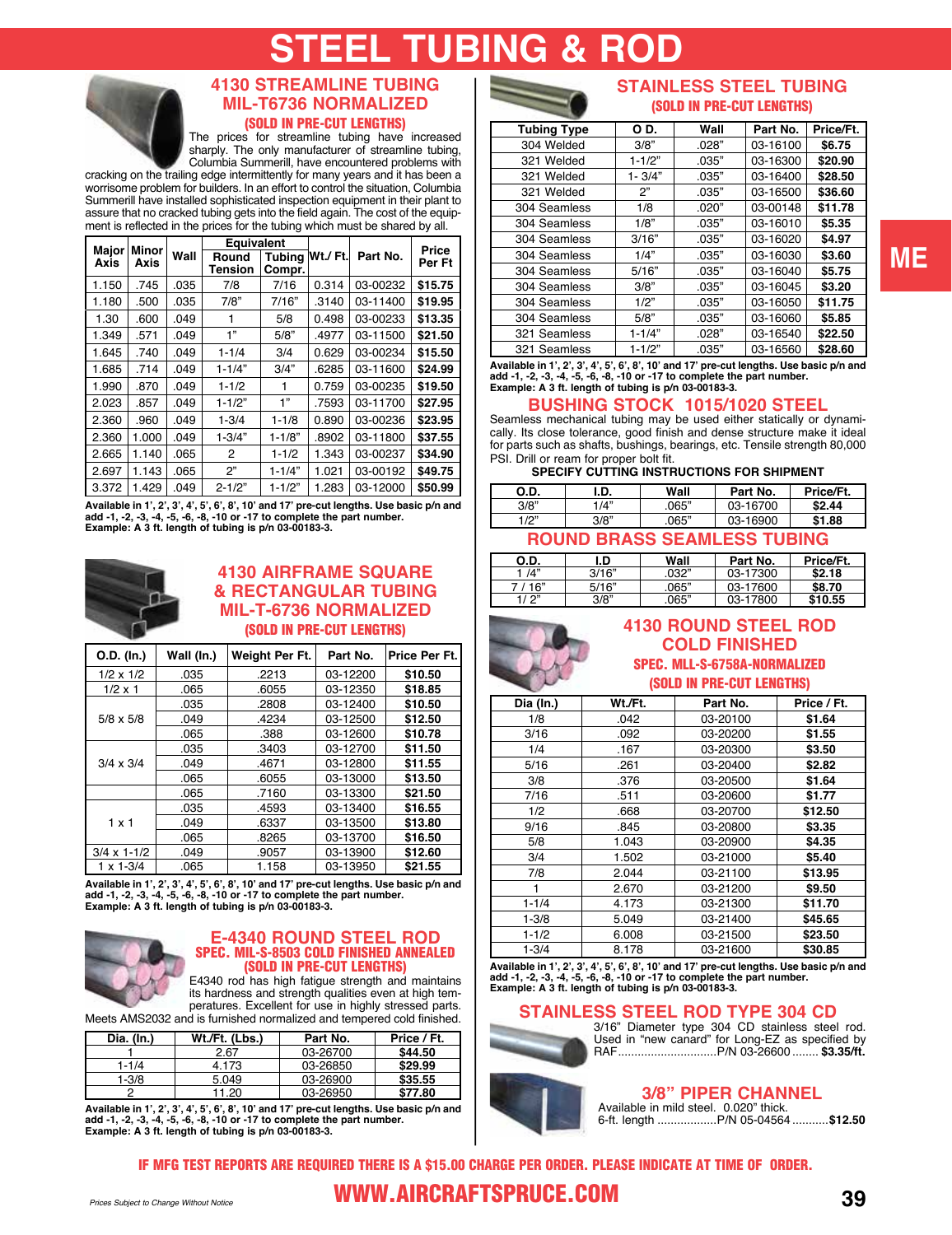# **STEEL TUBING & ROD**



### **4130 STREAMLINE TUBING MIL-T6736 NORMALIZED**

(SOLD IN PRE-CUT LENGTHS)

The prices for streamline tubing have increased sharply. The only manufacturer of streamline tubing, Columbia Summerill, have encountered problems with

cracking on the trailing edge intermittently for many years and it has been a worrisome problem for builders. In an effort to control the situation, Columbia Summerill have installed sophisticated inspection equipment in their plant to assure that no cracked tubing gets into the field again. The cost of the equipment is reflected in the prices for the tubing which must be shared by all.

| Major | Minor |      | Equivalent       |                  |         |          | Price   |
|-------|-------|------|------------------|------------------|---------|----------|---------|
| Axis  | Axis  | Wall | Round<br>Tension | Tubina<br>Compr. | Wt./Ft. | Part No. | Per Ft  |
| 1.150 | .745  | .035 | 7/8              | 7/16             | 0.314   | 03-00232 | \$15.75 |
| 1.180 | .500  | .035 | 7/8"             | 7/16"            | .3140   | 03-11400 | \$19.95 |
| 1.30  | .600  | .049 |                  | 5/8              | 0.498   | 03-00233 | \$13.35 |
| 1.349 | .571  | .049 | 1"               | 5/8"             | .4977   | 03-11500 | \$21.50 |
| 1.645 | .740  | .049 | $1 - 1/4$        | 3/4              | 0.629   | 03-00234 | \$15.50 |
| 1.685 | .714  | .049 | $1 - 1/4"$       | 3/4"             | .6285   | 03-11600 | \$24.99 |
| 1.990 | .870  | .049 | $1 - 1/2$        |                  | 0.759   | 03-00235 | \$19.50 |
| 2.023 | .857  | .049 | $1 - 1/2"$       | 1"               | .7593   | 03-11700 | \$27.95 |
| 2.360 | .960  | .049 | $1 - 3/4$        | $1 - 1/8$        | 0.890   | 03-00236 | \$23.95 |
| 2.360 | 1.000 | .049 | $1 - 3/4"$       | $1 - 1/8"$       | .8902   | 03-11800 | \$37.55 |
| 2.665 | 1.140 | .065 | 2                | $1 - 1/2$        | 1.343   | 03-00237 | \$34.90 |
| 2.697 | 1.143 | .065 | 2"               | $1 - 1/4"$       | 1.021   | 03-00192 | \$49.75 |
| 3.372 | 1.429 | .049 | $2 - 1/2"$       | $1 - 1/2"$       | 1.283   | 03-12000 | \$50.99 |

Available in 1', 2', 3', 4', 5', 6', 8', 10' and 17' pre-cut lengths. Use basic p/n and<br>add -1, -2, -3, -4, -5, -6, -8, -10 or -17 to complete the part number.<br>Example: A 3 ft. length of tubing is p/n [03-00183-3](https://www.aircraftspruce.com/catalog/pnpages/03-00183-3.php).



#### **4130 AIRFRAME SQUARE & RECTANGULAR TUBING MIL-T-6736 NORMALIZED** (SOLD IN PRE-CUT LENGTHS)

| O.D. (In.)           | Wall (In.) | Weight Per Ft. | Part No. | Price Per Ft. |
|----------------------|------------|----------------|----------|---------------|
| $1/2 \times 1/2$     | .035       | .2213          | 03-12200 | \$10.50       |
| $1/2 \times 1$       | .065       | .6055          | 03-12350 | \$18.85       |
|                      | .035       | .2808          | 03-12400 | \$10.50       |
| $5/8 \times 5/8$     | .049       | .4234          | 03-12500 | \$12.50       |
|                      | .065       | .388           | 03-12600 | \$10.78       |
|                      | .035       | .3403          | 03-12700 | \$11.50       |
| $3/4 \times 3/4$     | .049       | .4671          | 03-12800 | \$11.55       |
|                      | .065       | .6055          | 03-13000 | \$13.50       |
|                      | .065       | .7160          | 03-13300 | \$21.50       |
|                      | .035       | .4593          | 03-13400 | \$16.55       |
| $1 \times 1$         | .049       | .6337          | 03-13500 | \$13.80       |
|                      | .065       | .8265          | 03-13700 | \$16.50       |
| $3/4 \times 1 - 1/2$ | .049       | .9057          | 03-13900 | \$12.60       |
| $1 \times 1 - 3/4$   | .065       | 1.158          | 03-13950 | \$21.55       |

**Available in 1', 2', 3', 4', 5', 6', 8', 10' and 17' pre-cut lengths. Use basic p/n and add -1, -2, -3, -4, -5, -6, -8, -10 or -17 to complete the part number. Example: A 3 ft. length of tubing is p/n [03-00183-3](https://www.aircraftspruce.com/catalog/pnpages/03-00183-3.php).**



#### **E-4340 ROUND STEEL ROD** SPEC. MIL-S-8503 COLD FINISHED ANNEALED (SOLD IN PRE-CUT LENGTHS)

E4340 rod has high fatigue strength and maintains its hardness and strength qualities even at high temperatures. Excellent for use in highly stressed parts.<br>d is furnished normalized and tempered cold finished. Meets AMS2032 and is furnish

| Dia. (In.) | Wt./Ft. (Lbs.) | Part No. | Price / Ft. |
|------------|----------------|----------|-------------|
|            | 2.67           | 03-26700 | \$44.50     |
| $1 - 1/4$  | 4.173          | 03-26850 | \$29.99     |
| $1 - 3/8$  | 5.049          | 03-26900 | \$35.55     |
|            | 11.20          | 03-26950 | \$77.80     |

Available in 1', 2', 3', 4', 5', 6', 8', 10' and 17' pre-cut lengths. Use basic p/n and<br>add -1, -2, -3, -4, -5, -6, -8, -10 or -17 to complete the part number.<br>Example: A 3 ft. length of tubing is p/n [03-00183-3](https://www.aircraftspruce.com/catalog/pnpages/03-00183-3.php).



#### **STAINLESS STEEL TUBING** (SOLD IN PRE-CUT LENGTHS)

| <b>Tubing Type</b> | O D.       | Wall  | Part No. | Price/Ft. |
|--------------------|------------|-------|----------|-----------|
| 304 Welded         | 3/8"       | .028" | 03-16100 | \$6.75    |
| 321 Welded         | $1 - 1/2"$ | .035" | 03-16300 | \$20.90   |
| 321 Welded         | $1 - 3/4"$ | .035" | 03-16400 | \$28.50   |
| 321 Welded         | 2"         | .035" | 03-16500 | \$36.60   |
| 304 Seamless       | 1/8        | .020" | 03-00148 | \$11.78   |
| 304 Seamless       | 1/8"       | .035" | 03-16010 | \$5.35    |
| 304 Seamless       | 3/16"      | .035" | 03-16020 | \$4.97    |
| 304 Seamless       | 1/4"       | .035" | 03-16030 | \$3.60    |
| 304 Seamless       | 5/16"      | .035" | 03-16040 | \$5.75    |
| 304 Seamless       | 3/8"       | .035" | 03-16045 | \$3.20    |
| 304 Seamless       | 1/2"       | .035" | 03-16050 | \$11.75   |
| 304 Seamless       | 5/8"       | .035" | 03-16060 | \$5.85    |
| 321 Seamless       | $1 - 1/4"$ | .028" | 03-16540 | \$22.50   |
| 321 Seamless       | $1 - 1/2"$ | .035" | 03-16560 | \$28.60   |

**Available in 1', 2', 3', 4', 5', 6', 8', 10' and 17' pre-cut lengths. Use basic p/n and add -1, -2, -3, -4, -5, -6, -8, -10 or -17 to complete the part number. Example: A 3 ft. length of tubing is p/[n 03-00183-3.](https://www.aircraftspruce.com/catalog/pnpages/03-00183-3.php)**

#### **BUSHING STOCK 1015/1020 STEEL**

Seamless mechanical tubing may be used either statically or dynamically. Its close tolerance, good finish and dense structure make it ideal for parts such as shafts, bushings, bearings, etc. Tensile strength 80,000

## PSI. Drill or ream for proper bolt fit. **SPECIFY CUTTING INSTRUCTIONS FOR SHIPMENT**

| O.D.                               | I.D. | Wall        | Part No. | Price/Ft. |  |  |  |
|------------------------------------|------|-------------|----------|-----------|--|--|--|
| 3/8"                               | 1/4" | .065"       | 03-16700 | \$2.44    |  |  |  |
| 1/2"                               | 3/8" | .065"       | 03-16900 | \$1.88    |  |  |  |
| <b>ROUND BRASS SEAMLESS TUBING</b> |      |             |          |           |  |  |  |
| Ωn                                 | חו   | <b>Wall</b> | Dort No  | Drinn/Ct  |  |  |  |

| O.D.    | ı.D   | Wall  | Part No. | Price/Ft. |
|---------|-------|-------|----------|-----------|
| 1 /4"   | 3/16" | 032"  | 03-17300 | \$2.18    |
| 7 / 16" | 5/16" | .065" | 03-17600 | \$8.70    |
| 11 つ"   | 3/8"  | .065" | 03-17800 | \$10.55   |



t

#### **4130 ROUND STEEL ROD COLD FINISHED** SPEC. MLL-S-6758A-NORMALIZED (SOLD IN PRE-CUT LENGTHS)

| Dia (In.) | Wt./Ft. | Part No. | Price / Ft. |
|-----------|---------|----------|-------------|
| 1/8       | .042    | 03-20100 | \$1.64      |
| 3/16      | .092    | 03-20200 | \$1.55      |
| 1/4       | .167    | 03-20300 | \$3.50      |
| 5/16      | .261    | 03-20400 | \$2.82      |
| 3/8       | .376    | 03-20500 | \$1.64      |
| 7/16      | .511    | 03-20600 | \$1.77      |
| 1/2       | .668    | 03-20700 | \$12.50     |
| 9/16      | .845    | 03-20800 | \$3.35      |
| 5/8       | 1.043   | 03-20900 | \$4.35      |
| 3/4       | 1.502   | 03-21000 | \$5.40      |
| 7/8       | 2.044   | 03-21100 | \$13.95     |
|           | 2.670   | 03-21200 | \$9.50      |
| $1 - 1/4$ | 4.173   | 03-21300 | \$11.70     |
| $1 - 3/8$ | 5.049   | 03-21400 | \$45.65     |
| $1 - 1/2$ | 6.008   | 03-21500 | \$23.50     |
| 1-3/4     | 8.178   | 03-21600 | \$30.85     |

**Available in 1', 2', 3', 4', 5', 6', 8', 10' and 17' pre-cut lengths. Use basic p/n and add -1, -2, -3, -4, -5, -6, -8, -10 or -17 to complete the part number. Example: A 3 ft. length of tubing is p/[n 03-00183-3.](https://www.aircraftspruce.com/catalog/pnpages/03-00183-3.php)**

#### **STAINLESS STEEL ROD TYPE 304 CD**



3/16" Diameter type 304 CD stainless steel rod. Used in "new canard" for Long-EZ as specified by RAF..............................P/[N 03-26600](https://www.aircraftspruce.com/catalog/pnpages/03-26600.php) ........ **\$3.35/ft.**

#### **3/8" PIPER CHANNEL**

Available in mild steel. 0.020" thick. 6-ft. length ..................P/[N 05-04564](https://www.aircraftspruce.com/catalog/pnpages/05-04564.php) ...........**\$12.50**

IF MFG TEST REPORTS ARE REQUIRED THERE IS A \$15.00 CHARGE PER ORDER. PLEASE INDICATE AT TIME OF ORDER.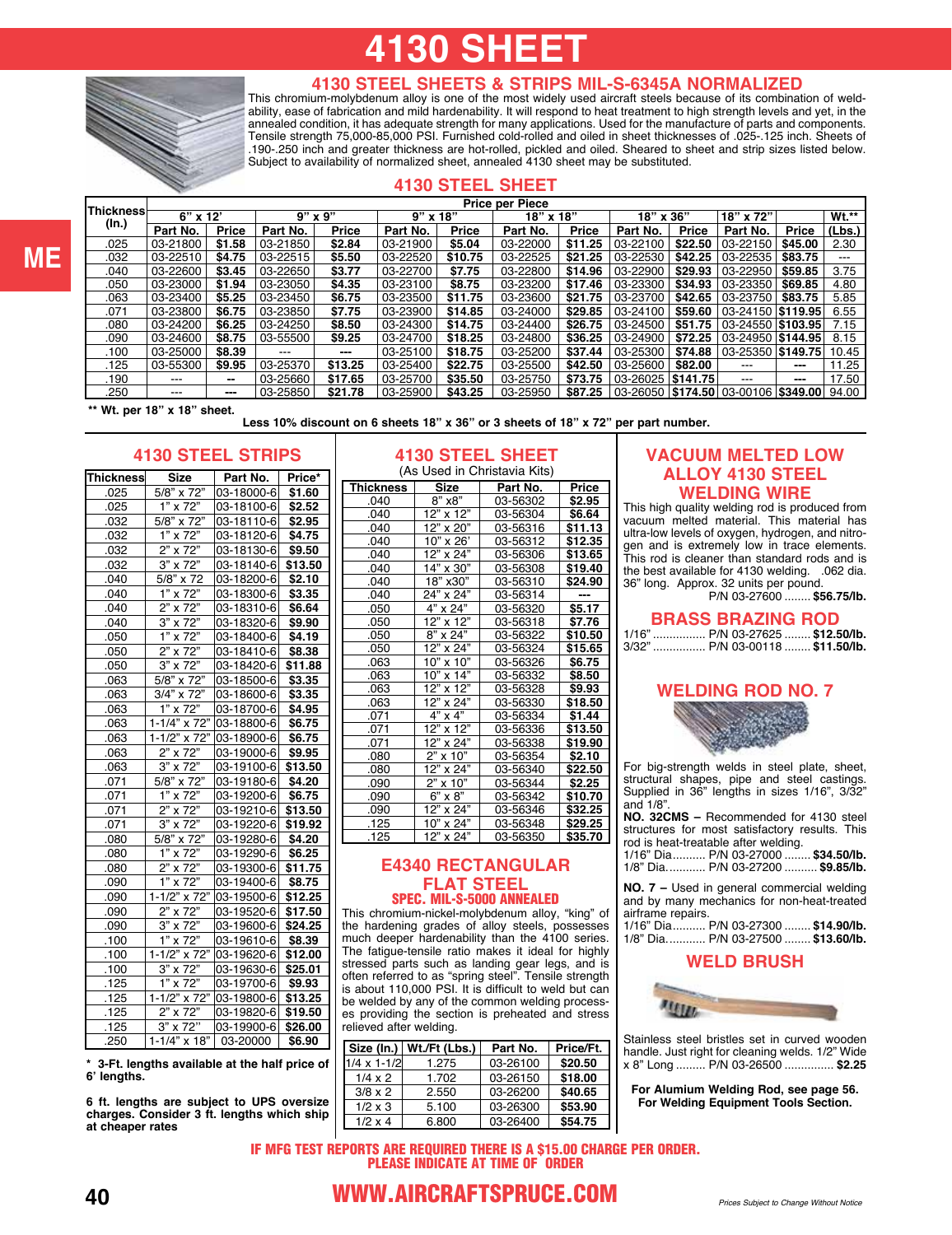# **4130 SHEET**



#### **4130 STEEL SHEETS & STRIPS MIL-S-6345A NORMALIZED**

This chromium-molybdenum alloy is one of the most widely used aircraft steels because of its combination of weldability, ease of fabrication and mild hardenability. It will respond to heat treatment to high strength levels and yet, in the annealed condition, it has adequate strength for many applications. Used for the manufacture of parts and components. Tensile strength 75,000-85,000 PSI. Furnished cold-rolled and oiled in sheet thicknesses of .025-.125 inch. Sheets of .190-.250 inch and greater thickness are hot-rolled, pickled and oiled. Sheared to sheet and strip sizes listed below. Subject to availability of normalized sheet, annealed 4130 sheet may be substituted.

#### **4130 STEEL SHEET**

|           |            |              |             |         |            |              | <b>Price per Piece</b> |              |                     |          |                                  |          |              |
|-----------|------------|--------------|-------------|---------|------------|--------------|------------------------|--------------|---------------------|----------|----------------------------------|----------|--------------|
| Thickness | $6"$ x 12' |              | $9"$ x $9"$ |         | $9"$ x 18" |              | 18" x 18"              |              | 18" x 36"           |          | 18" x 72"                        |          | <b>Wt.**</b> |
| (In.)     | Part No.   | <b>Price</b> | Part No.    | Price   | Part No.   | <b>Price</b> | Part No.               | <b>Price</b> | Part No.            | Price    | Part No.                         | Price    | (Lbs.)       |
| .025      | 03-21800   | \$1.58       | 03-21850    | \$2.84  | 03-21900   | \$5.04       | 03-22000               | \$11.25      | 03-22100            | \$22.50  | $03 - 22150$                     | \$45.00  | 2.30         |
| .032      | 03-22510   | \$4.75       | 03-22515    | \$5.50  | 03-22520   | \$10.75      | 03-22525               | \$21.25      | 03-22530            | \$42.25  | 03-22535                         | \$83.75  | ---          |
| .040      | 03-22600   | \$3.45       | 03-22650    | \$3.77  | 03-22700   | \$7.75       | 03-22800               | \$14.96      | 03-22900            | \$29.93  | 03-22950 S59.85                  |          | 3.75         |
| .050      | 03-23000   | \$1.94       | 03-23050    | \$4.35  | 03-23100   | \$8.75       | 03-23200               | \$17.46      | 03-23300            | \$34.93  | 03-23350 S69.85                  |          | 4.80         |
| .063      | 03-23400   | \$5.25       | 03-23450    | \$6.75  | 03-23500   | \$11.75      | 03-23600               | \$21.75      | 03-23700            | \$42.65  | 03-23750   \$83.75               |          | 5.85         |
| .071      | 03-23800   | \$6.75       | 03-23850    | \$7.75  | 03-23900   | \$14.85      | 03-24000               | \$29.85      | 03-24100            | \$59.60  | 03-24150   <b>\$119.95</b>       |          | 6.55         |
| .080      | 03-24200   | \$6.25       | 03-24250    | \$8.50  | 03-24300   | \$14.75      | 03-24400               | \$26.75      | 03-24500            | \$51.75  | 03-24550   \$103.95              |          | 7.15         |
| .090      | 03-24600   | \$8.75       | 03-55500    | \$9.25  | 03-24700   | \$18.25      | 03-24800               | \$36.25      | 03-24900            | $$72.25$ | 03-24950   \$144.95              |          | 8.15         |
| .100      | 03-25000   | \$8.39       | $---$       | ---     | 03-25100   | \$18.75      | 03-25200               | \$37.44      | 03-25300            | \$74.88  | 03-25350   <b>\$149.75</b>       |          | 10.45        |
| .125      | 03-55300   | \$9.95       | 03-25370    | \$13.25 | 03-25400   | \$22.75      | 03-25500               | \$42.50      | 03-25600            | \$82.00  | ---                              | $\cdots$ | 11.25        |
| .190      | $--$       | --           | 03-25660    | \$17.65 | 03-25700   | \$35.50      | 03-25750               | \$73.75      | 03-26025   \$141.75 |          | ---                              | $\sim$   | 17.50        |
| .250      | ---        | $- - -$      | 03-25850    | \$21.78 | 03-25900   | \$43.25      | 03-25950               | \$87.25      | 03-26050            |          | \$174.50 03-00106 \$349.00 94.00 |          |              |

**\*\* Wt. per 18" x 18" sheet. Less 10% discount on 6 sheets 18" x 36" or 3 sheets of 18" x 72" per part number.**

## **4130 STEEL STRIPS**

| <b>Thickness</b> | <b>Size</b>               | Part No.   | Price*  |
|------------------|---------------------------|------------|---------|
| .025             | 5/8" x 72"                | 03-18000-6 | \$1.60  |
| .025             | $1" \times 72"$           | 03-18100-6 | \$2.52  |
| .032             | 5/8" x 72"                | 03-18110-6 | \$2.95  |
| .032             | 1" x 72"                  | 03-18120-6 | \$4.75  |
| .032             | $2" \times 72"$           | 03-18130-6 | \$9.50  |
| .032             | 3" x 72"                  | 03-18140-6 | \$13.50 |
| .040             | $5/8$ " x 72              | 03-18200-6 | \$2.10  |
| .040             | 1" x 72"                  | 03-18300-6 | \$3.35  |
| .040             | 2" x 72"                  | 03-18310-6 | \$6.64  |
| .040             | $\overline{3" \times 72"$ | 03-18320-6 | \$9.90  |
| .050             | 1" x 72"                  | 03-18400-6 | \$4.19  |
| .050             | $2"$ x 72"                | 03-18410-6 | \$8.38  |
| .050             | 3" x 72"                  | 03-18420-6 | \$11.88 |
| .063             | 5/8" x 72"                | 03-18500-6 | \$3.35  |
| .063             | 3/4" x 72"                | 03-18600-6 | \$3.35  |
| .063             | $1" \times 72"$           | 03-18700-6 | \$4.95  |
| .063             | 1-1/4" x 72"              | 03-18800-6 | \$6.75  |
| .063             | $1 - 1/2$ " x 72"         | 03-18900-6 | \$6.75  |
| .063             | 2" x 72"                  | 03-19000-6 | \$9.95  |
| .063             | 3" x 72"                  | 03-19100-6 | \$13.50 |
| .071             | 5/8" x 72"                | 03-19180-6 | \$4.20  |
| .071             | 1" x 72"                  | 03-19200-6 | \$6.75  |
| .071             | 2" x 72"                  | 03-19210-6 | \$13.50 |
| .071             | $3" \times 72"$           | 03-19220-6 | \$19.92 |
| .080             | 5/8" x 72"                | 03-19280-6 | \$4.20  |
| .080             | 1" x 72"                  | 03-19290-6 | \$6.25  |
| .080             | 2" x 72"                  | 03-19300-6 | \$11.75 |
| .090             | 1" x 72"                  | 03-19400-6 | \$8.75  |
| .090             | 1-1/2" x 72"              | 03-19500-6 | \$12.25 |
| .090             | 2" x 72"                  | 03-19520-6 | \$17.50 |
| .090             | 3" x 72"                  | 03-19600-6 | \$24.25 |
| .100             | 1" x 72"                  | 03-19610-6 | \$8.39  |
| .100             | $1 - 1/2$ " x 72"         | 03-19620-6 | \$12.00 |
| .100             | 3" x 72"                  | 03-19630-6 | \$25.01 |
| .125             | x 72"<br>1"               | 03-19700-6 | \$9.93  |
| .125             | $1 - 1/2$ " x 72"         | 03-19800-6 | \$13.25 |
| .125             | 2" x 72"                  | 03-19820-6 | \$19.50 |
| .125             | $3" \times 72"$           | 03-19900-6 | \$26.00 |
| .250             | $1 - 1/4" \times 18"$     | 03-20000   | \$6.90  |

**\* 3-Ft. lengths available at the half price of 6' lengths.** 

**6 ft. lengths are subject to UPS oversize charges. Consider 3 ft. lengths which ship at cheaper rates**

#### **4130 STEEL SHEET**  (As Used in Christavia Kits)

| $(100 \text{ V}00 \text{ V}0 \text{ m})$ The contract $(100 \text{ V}00 \text{ V}00 \text{ V}00 \text{ V}00 \text{ V}00 \text{ V}00 \text{ V}00 \text{ V}00 \text{ V}00 \text{ V}00 \text{ V}00 \text{ V}00 \text{ V}00 \text{ V}00 \text{ V}00 \text{ V}00 \text{ V}00 \text{ V}00 \text{ V}00 \text{ V}00 \text{ V}00 \text{ V}00 \text{ V}00 \text{ V}00 \text{ V}00 \text{$ |                               |          |         |  |  |  |  |  |
|---------------------------------------------------------------------------------------------------------------------------------------------------------------------------------------------------------------------------------------------------------------------------------------------------------------------------------------------------------------------------------|-------------------------------|----------|---------|--|--|--|--|--|
| <b>Thickness</b>                                                                                                                                                                                                                                                                                                                                                                | <b>Size</b>                   | Part No. | Price   |  |  |  |  |  |
| .040                                                                                                                                                                                                                                                                                                                                                                            | 8" x8"                        | 03-56302 | \$2.95  |  |  |  |  |  |
| .040                                                                                                                                                                                                                                                                                                                                                                            | 12" x 12"                     | 03-56304 | \$6.64  |  |  |  |  |  |
| .040                                                                                                                                                                                                                                                                                                                                                                            | 12" x 20"                     | 03-56316 | \$11.13 |  |  |  |  |  |
| .040                                                                                                                                                                                                                                                                                                                                                                            | 10" x 26'                     | 03-56312 | \$12.35 |  |  |  |  |  |
| .040                                                                                                                                                                                                                                                                                                                                                                            | 12" x 24"                     | 03-56306 | \$13.65 |  |  |  |  |  |
| .040                                                                                                                                                                                                                                                                                                                                                                            | 14" x 30"                     | 03-56308 | \$19.40 |  |  |  |  |  |
| .040                                                                                                                                                                                                                                                                                                                                                                            | 18" x30"                      | 03-56310 | \$24.90 |  |  |  |  |  |
| .040                                                                                                                                                                                                                                                                                                                                                                            | 24" x 24"                     | 03-56314 |         |  |  |  |  |  |
| .050                                                                                                                                                                                                                                                                                                                                                                            | 4" x 24"                      | 03-56320 | \$5.17  |  |  |  |  |  |
| .050                                                                                                                                                                                                                                                                                                                                                                            | $12"$ x $12"$                 | 03-56318 | \$7.76  |  |  |  |  |  |
| .050                                                                                                                                                                                                                                                                                                                                                                            | x 24"<br>8"                   | 03-56322 | \$10.50 |  |  |  |  |  |
| .050                                                                                                                                                                                                                                                                                                                                                                            | 12" x 24"                     | 03-56324 | \$15.65 |  |  |  |  |  |
| .063                                                                                                                                                                                                                                                                                                                                                                            | 10" x 10"                     | 03-56326 | \$6.75  |  |  |  |  |  |
| .063                                                                                                                                                                                                                                                                                                                                                                            | 10" x 14"                     | 03-56332 | \$8.50  |  |  |  |  |  |
| .063                                                                                                                                                                                                                                                                                                                                                                            | x 12"<br>12"                  | 03-56328 | \$9.93  |  |  |  |  |  |
| .063                                                                                                                                                                                                                                                                                                                                                                            | $12" \times 24"$              | 03-56330 | \$18.50 |  |  |  |  |  |
| .071                                                                                                                                                                                                                                                                                                                                                                            | $\times$ 4"<br>4 <sup>n</sup> | 03-56334 | \$1.44  |  |  |  |  |  |
| .071                                                                                                                                                                                                                                                                                                                                                                            | x 12"<br>12"                  | 03-56336 | \$13.50 |  |  |  |  |  |
| .071                                                                                                                                                                                                                                                                                                                                                                            | 12" x 24"                     | 03-56338 | \$19.90 |  |  |  |  |  |
| .080                                                                                                                                                                                                                                                                                                                                                                            | x 10"<br>2"                   | 03-56354 | \$2.10  |  |  |  |  |  |
| .080                                                                                                                                                                                                                                                                                                                                                                            | 12" x 24"                     | 03-56340 | \$22.50 |  |  |  |  |  |
| .090                                                                                                                                                                                                                                                                                                                                                                            | x 10<br>2"                    | 03-56344 | \$2.25  |  |  |  |  |  |
| .090                                                                                                                                                                                                                                                                                                                                                                            | $6" \times 8"$                | 03-56342 | \$10.70 |  |  |  |  |  |
| .090                                                                                                                                                                                                                                                                                                                                                                            | x 24"<br>12"                  | 03-56346 | \$32.25 |  |  |  |  |  |
| .125                                                                                                                                                                                                                                                                                                                                                                            | 10"<br>x 24"                  | 03-56348 | \$29.25 |  |  |  |  |  |
| .125                                                                                                                                                                                                                                                                                                                                                                            | 12" x 24"                     | 03-56350 | \$35.70 |  |  |  |  |  |

#### **E4340 RECTANGULAR FLAT STEEL** SPEC. MIL-S-5000 ANNEALED

This chromium-nickel-molybdenum alloy, "king" of the hardening grades of alloy steels, possesses much deeper hardenability than the 4100 series. The fatigue-tensile ratio makes it ideal for highly stressed parts such as landing gear legs, and is often referred to as "spring steel". Tensile strength is about 110,000 PSI. It is difficult to weld but can be welded by any of the common welding processes providing the section is preheated and stress relieved after welding.

|                | Size (In.)   Wt./Ft (Lbs.) | Part No. | Price/Ft. |
|----------------|----------------------------|----------|-----------|
| 1/4 x 1-1/2    | 1.275                      | 03-26100 | \$20.50   |
| $1/4 \times 2$ | 1.702                      | 03-26150 | \$18.00   |
| $3/8 \times 2$ | 2.550                      | 03-26200 | \$40.65   |
| $1/2 \times 3$ | 5.100                      | 03-26300 | \$53.90   |
| $1/2 \times 4$ | 6.800                      | 03-26400 | \$54.75   |

#### **VACUUM MELTED LOW ALLOY 4130 STEEL WELDING WIRE**

This high quality welding rod is produced from vacuum melted material. This material has ultra-low levels of oxygen, hydrogen, and nitrogen and is extremely low in trace elements. This rod is cleaner than standard rods and is the best available for 4130 welding. .062 dia. 36" long. Approx. 32 units per pound.

P/N [03-27600](https://www.aircraftspruce.com/catalog/pnpages/03-27600.php) ........ **\$56.75/lb.**

#### **BRASS BRAZING ROD**

1/16" ................ P/N [03-27625](https://www.aircraftspruce.com/catalog/pnpages/03-27625.php) ........ **\$12.50/lb.** 3/32" ................ P/N [03-00118](https://www.aircraftspruce.com/catalog/pnpages/03-00118.php) ........ **\$11.50/lb.**

#### **WELDING ROD NO. 7**



For big-strength welds in steel plate, sheet, structural shapes, pipe and steel castings. Supplied in 36" lengths in sizes 1/16", 3/32" and 1/8".

**NO. 32CMS –** Recommended for 4130 steel structures for most satisfactory results. This rod is heat-treatable after welding.

|  | 1/16" Dia P/N 03-27000  \$34.50/lb. |
|--|-------------------------------------|
|  | 1/8" Dia P/N 03-27200  \$9.85/lb.   |

**NO. 7 –** Used in general commercial welding and by many mechanics for non-heat-treated airframe repairs.

| 1/16" Dia P/N 03-27300  \$14.90/lb. |  |
|-------------------------------------|--|
| 1/8" Dia P/N 03-27500  \$13.60/lb.  |  |

#### **WELD BRUSH**



Stainless steel bristles set in curved wooden handle. Just right for cleaning welds. 1/2" Wide x 8" Long ......... P/N [03-26500](https://www.aircraftspruce.com/catalog/pnpages/03-26500.php) ............... **\$2.25**

**For Alumium Welding Rod, see page 56. For Welding Equipment Tools Section.** 

IF MFG TEST REPORTS ARE REQUIRED THERE IS A \$15.00 CHARGE PER ORDER. PLEASE INDICATE AT TIME OF ORDER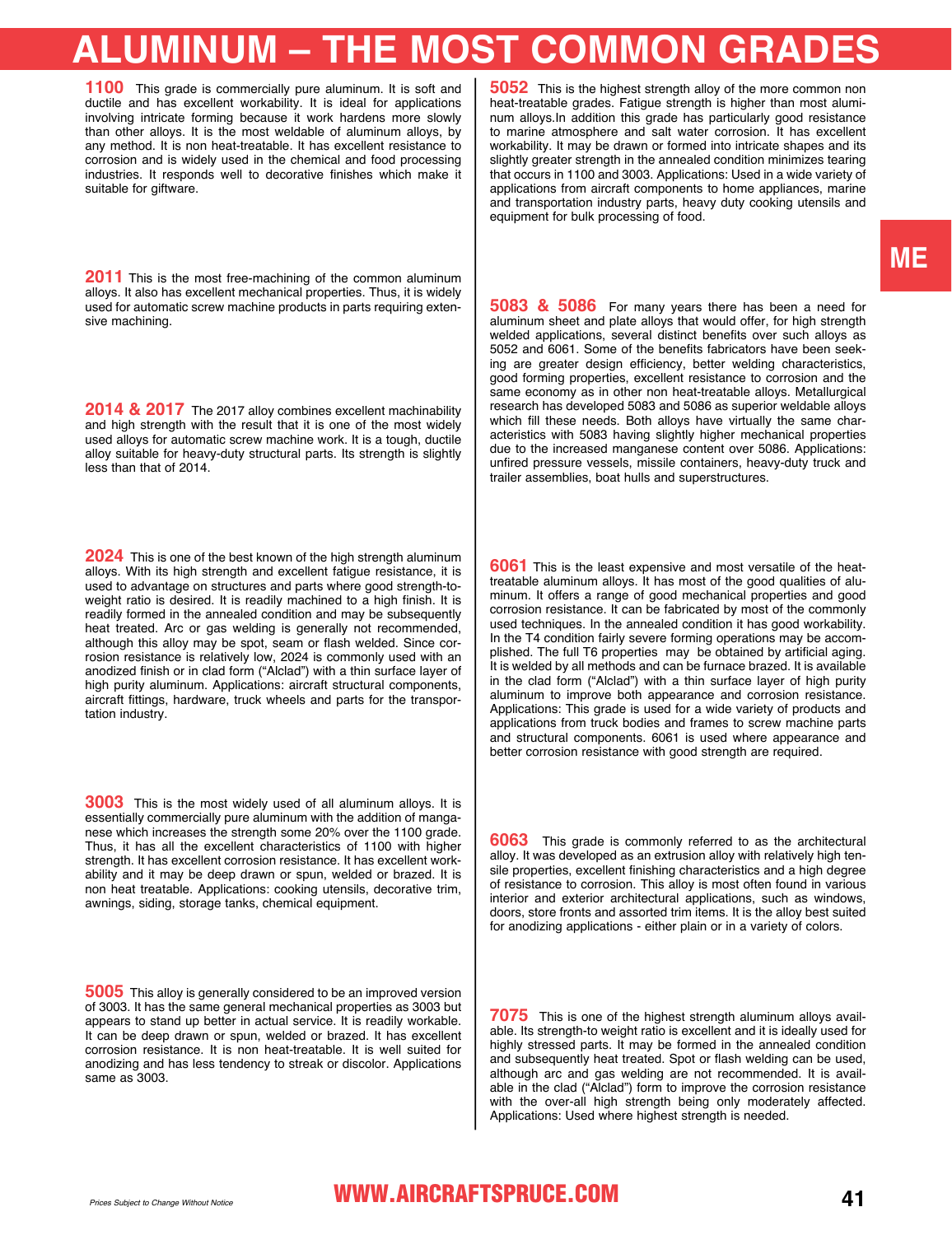# **ALUMINUM – THE MOST COMMON GRADES**

**1100** This grade is commercially pure aluminum. It is soft and ductile and has excellent workability. It is ideal for applications involving intricate forming because it work hardens more slowly than other alloys. It is the most weldable of aluminum alloys, by any method. It is non heat-treatable. It has excellent resistance to corrosion and is widely used in the chemical and food processing industries. It responds well to decorative finishes which make it suitable for giftware.

**2011** This is the most free-machining of the common aluminum alloys. It also has excellent mechanical properties. Thus, it is widely used for automatic screw machine products in parts requiring extensive machining.

2014 & 2017 The 2017 alloy combines excellent machinability and high strength with the result that it is one of the most widely used alloys for automatic screw machine work. It is a tough, ductile alloy suitable for heavy-duty structural parts. Its strength is slightly less than that of 2014.

**2024** This is one of the best known of the high strength aluminum alloys. With its high strength and excellent fatigue resistance, it is used to advantage on structures and parts where good strength-toweight ratio is desired. It is readily machined to a high finish. It is readily formed in the annealed condition and may be subsequently heat treated. Arc or gas welding is generally not recommended, although this alloy may be spot, seam or flash welded. Since corrosion resistance is relatively low, 2024 is commonly used with an anodized finish or in clad form ("Alclad") with a thin surface layer of high purity aluminum. Applications: aircraft structural components, aircraft fittings, hardware, truck wheels and parts for the transportation industry.

**3003** This is the most widely used of all aluminum alloys. It is essentially commercially pure aluminum with the addition of manganese which increases the strength some 20% over the 1100 grade. Thus, it has all the excellent characteristics of 1100 with higher strength. It has excellent corrosion resistance. It has excellent workability and it may be deep drawn or spun, welded or brazed. It is non heat treatable. Applications: cooking utensils, decorative trim, awnings, siding, storage tanks, chemical equipment.

**5005** This alloy is generally considered to be an improved version of 3003. It has the same general mechanical properties as 3003 but appears to stand up better in actual service. It is readily workable. It can be deep drawn or spun, welded or brazed. It has excellent corrosion resistance. It is non heat-treatable. It is well suited for anodizing and has less tendency to streak or discolor. Applications same as 3003.

**5052** This is the highest strength alloy of the more common non heat-treatable grades. Fatigue strength is higher than most aluminum alloys.In addition this grade has particularly good resistance to marine atmosphere and salt water corrosion. It has excellent workability. It may be drawn or formed into intricate shapes and its slightly greater strength in the annealed condition minimizes tearing that occurs in 1100 and 3003. Applications: Used in a wide variety of applications from aircraft components to home appliances, marine and transportation industry parts, heavy duty cooking utensils and equipment for bulk processing of food.

**5083 & 5086** For many years there has been a need for aluminum sheet and plate alloys that would offer, for high strength welded applications, several distinct benefits over such alloys as 5052 and 6061. Some of the benefits fabricators have been seeking are greater design efficiency, better welding characteristics, good forming properties, excellent resistance to corrosion and the same economy as in other non heat-treatable alloys. Metallurgical research has developed 5083 and 5086 as superior weldable alloys which fill these needs. Both alloys have virtually the same characteristics with 5083 having slightly higher mechanical properties due to the increased manganese content over 5086. Applications: unfired pressure vessels, missile containers, heavy-duty truck and trailer assemblies, boat hulls and superstructures.

**6061** This is the least expensive and most versatile of the heattreatable aluminum alloys. It has most of the good qualities of aluminum. It offers a range of good mechanical properties and good corrosion resistance. It can be fabricated by most of the commonly used techniques. In the annealed condition it has good workability. In the T4 condition fairly severe forming operations may be accomplished. The full T6 properties may be obtained by artificial aging. It is welded by all methods and can be furnace brazed. It is available in the clad form ("Alclad") with a thin surface layer of high purity aluminum to improve both appearance and corrosion resistance. Applications: This grade is used for a wide variety of products and applications from truck bodies and frames to screw machine parts and structural components. 6061 is used where appearance and better corrosion resistance with good strength are required.

**6063** This grade is commonly referred to as the architectural alloy. It was developed as an extrusion alloy with relatively high tensile properties, excellent finishing characteristics and a high degree of resistance to corrosion. This alloy is most often found in various interior and exterior architectural applications, such as windows, doors, store fronts and assorted trim items. It is the alloy best suited for anodizing applications - either plain or in a variety of colors.

**7075** This is one of the highest strength aluminum alloys available. Its strength-to weight ratio is excellent and it is ideally used for highly stressed parts. It may be formed in the annealed condition and subsequently heat treated. Spot or flash welding can be used, although arc and gas welding are not recommended. It is available in the clad ("Alclad") form to improve the corrosion resistance with the over-all high strength being only moderately affected. Applications: Used where highest strength is needed.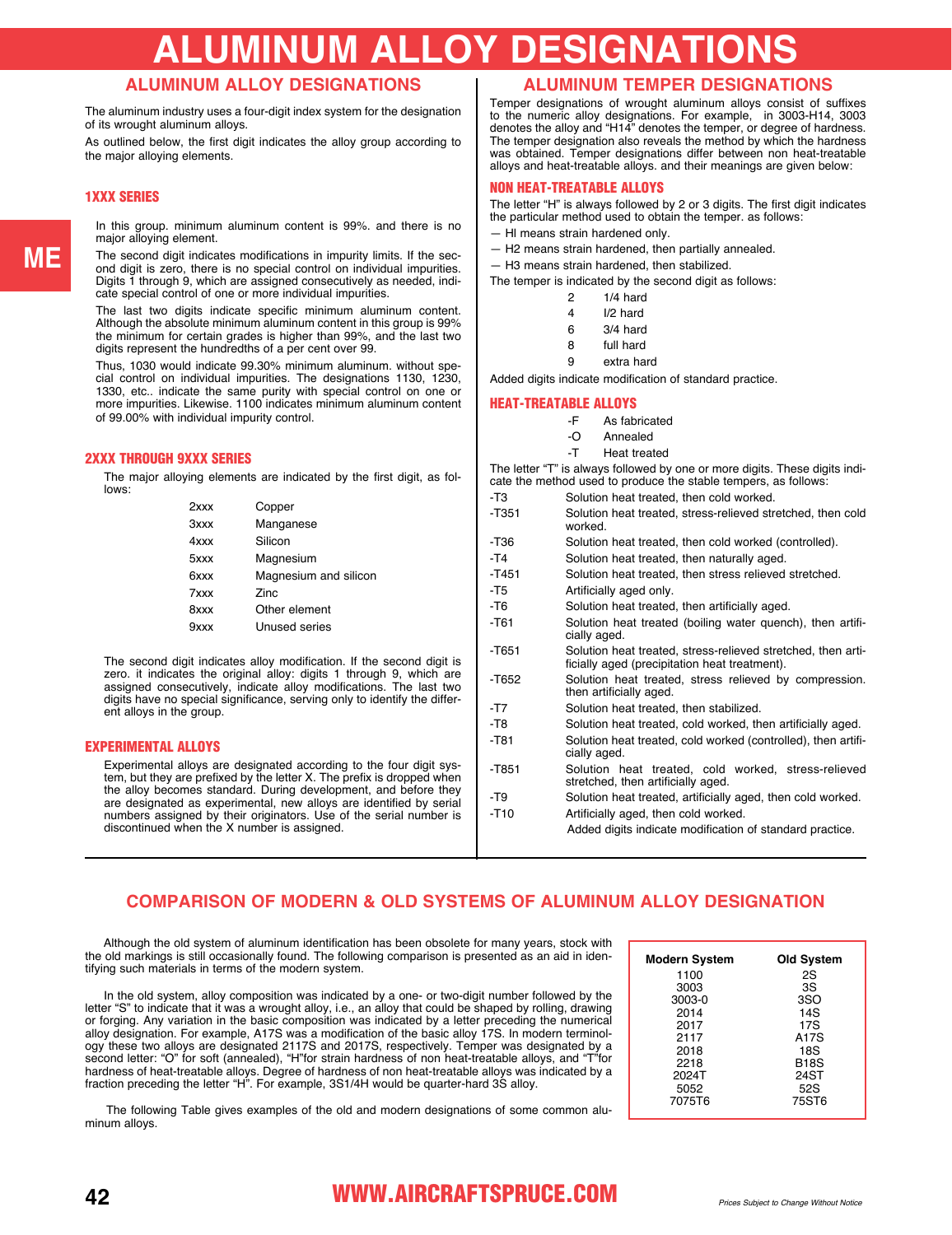# **ALUMINUM ALLOY DESIGNATIONS**

#### **ALUMINUM ALLOY DESIGNATIONS**

The aluminum industry uses a four-digit index system for the designation of its wrought aluminum alloys.

As outlined below, the first digit indicates the alloy group according to the major alloying elements.

#### 1XXX SERIES

In this group. minimum aluminum content is 99%. and there is no major alloying element.

The second digit indicates modifications in impurity limits. If the second digit is zero, there is no special control on individual impurities. Digits 1 through 9, which are assigned consecutively as needed, indicate special control of one or more individual impurities.

The last two digits indicate specific minimum aluminum content. Although the absolute minimum aluminum content in this group is 99% the minimum for certain grades is higher than 99%, and the last two digits represent the hundredths of a per cent over 99.

Thus, 1030 would indicate 99.30% minimum aluminum. without special control on individual impurities. The designations 1130, 1230, 1330, etc.. indicate the same purity with special control on one or more impurities. Likewise. 1100 indicates minimum aluminum content of 99.00% with individual impurity control.

#### 2XXX THROUGH 9XXX SERIES

The major alloying elements are indicated by the first digit, as follows:

| $2$ xxx | Copper                |
|---------|-----------------------|
| 3xxx    | Manganese             |
| 4xxx    | Silicon               |
| 5xxx    | Magnesium             |
| 6xxx    | Magnesium and silicon |
| 7xxx    | Zinc                  |
| 8xxx    | Other element         |
| 9xxx    | Unused series         |
|         |                       |

The second digit indicates alloy modification. If the second digit is zero. it indicates the original alloy: digits 1 through 9, which are assigned consecutively, indicate alloy modifications. The last two digits have no special significance, serving only to identify the different alloys in the group.

#### EXPERIMENTAL ALLOYS

Experimental alloys are designated according to the four digit system, but they are prefixed by the letter X. The prefix is dropped when the alloy becomes standard. During development, and before they are designated as experimental, new alloys are identified by serial numbers assigned by their originators. Use of the serial number is discontinued when the X number is assigned.

#### **ALUMINUM TEMPER DESIGNATIONS**

Temper designations of wrought aluminum alloys consist of suffixes to the numeric alloy designations. For example, in 3003-H14, 3003 denotes the alloy and "H14" denotes the temper, or degree of hardness. The temper designation also reveals the method by which the hardness was obtained. Temper designations differ between non heat-treatable alloys and heat-treatable alloys. and their meanings are given below:

#### NON HEAT-TREATABLE ALLOYS

The letter "H" is always followed by 2 or 3 digits. The first digit indicates the particular method used to obtain the temper. as follows:

— Hl means strain hardened only.

— H2 means strain hardened, then partially annealed.

— H3 means strain hardened, then stabilized.

The temper is indicated by the second digit as follows:

| 2 | 1/4 hard |
|---|----------|
| 4 | I/2 hard |
| 6 | 3/4 hard |

| 8 | full hard |
|---|-----------|

9 extra hard

Added digits indicate modification of standard practice.

#### HEAT-TREATABLE ALLOYS

- -O Annealed
- -T Heat treated

The letter "T" is always followed by one or more digits. These digits india method used to produce the stable tem

|         | <u>0010 the method doed to produce the stable tempers, as follows.</u>                                        |  |  |  |  |  |  |  |  |  |
|---------|---------------------------------------------------------------------------------------------------------------|--|--|--|--|--|--|--|--|--|
| -T3     | Solution heat treated, then cold worked.                                                                      |  |  |  |  |  |  |  |  |  |
| $-T351$ | Solution heat treated, stress-relieved stretched, then cold<br>worked.                                        |  |  |  |  |  |  |  |  |  |
| $-T36$  | Solution heat treated, then cold worked (controlled).                                                         |  |  |  |  |  |  |  |  |  |
| $-T4$   | Solution heat treated, then naturally aged.                                                                   |  |  |  |  |  |  |  |  |  |
| $-T451$ | Solution heat treated, then stress relieved stretched.                                                        |  |  |  |  |  |  |  |  |  |
| -T5     | Artificially aged only.                                                                                       |  |  |  |  |  |  |  |  |  |
| -T6     | Solution heat treated, then artificially aged.                                                                |  |  |  |  |  |  |  |  |  |
| $-T61$  | Solution heat treated (boiling water quench), then artifi-<br>cially aged.                                    |  |  |  |  |  |  |  |  |  |
| -T651   | Solution heat treated, stress-relieved stretched, then arti-<br>ficially aged (precipitation heat treatment). |  |  |  |  |  |  |  |  |  |
| $-T652$ | Solution heat treated, stress relieved by compression.<br>then artificially aged.                             |  |  |  |  |  |  |  |  |  |
| -T7     | Solution heat treated, then stabilized.                                                                       |  |  |  |  |  |  |  |  |  |
| -T8     | Solution heat treated, cold worked, then artificially aged.                                                   |  |  |  |  |  |  |  |  |  |
| $-T81$  | Solution heat treated, cold worked (controlled), then artifi-<br>cially aged.                                 |  |  |  |  |  |  |  |  |  |
| -T851   | Solution heat treated, cold worked, stress-relieved<br>stretched, then artificially aged.                     |  |  |  |  |  |  |  |  |  |
| -T9     | Solution heat treated, artificially aged, then cold worked.                                                   |  |  |  |  |  |  |  |  |  |
| $-T10$  | Artificially aged, then cold worked.                                                                          |  |  |  |  |  |  |  |  |  |
|         | Added digits indicate modification of standard practice.                                                      |  |  |  |  |  |  |  |  |  |

#### **COMPARISON OF MODERN & OLD SYSTEMS OF ALUMINUM ALLOY DESIGNATION**

 Although the old system of aluminum identification has been obsolete for many years, stock with the old markings is still occasionally found. The following comparison is presented as an aid in identifying such materials in terms of the modern system.

 In the old system, alloy composition was indicated by a one- or two-digit number followed by the letter "S" to indicate that it was a wrought alloy, i.e., an alloy that could be shaped by rolling, drawing or forging. Any variation in the basic composition was indicated by a letter preceding the numerical alloy designation. For example, A17S was a modification of the basic alloy 17S. In modern terminology these two alloys are designated 2117S and 2017S, respectively. Temper was designated by a second letter: "O" for soft (annealed), "H"for strain hardness of non heat-treatable alloys, and "T"for hardness of heat-treatable alloys. Degree of hardness of non heat-treatable alloys was indicated by a fraction preceding the letter "H". For example, 3S1/4H would be quarter-hard 3S alloy.

 The following Table gives examples of the old and modern designations of some common aluminum alloys.

| <b>Modern System</b> | Old System        |
|----------------------|-------------------|
| 1100                 | 2S                |
| 3003                 | 3S                |
| 3003-0               | 3SO               |
| 2014                 | 14S               |
| 2017                 | 17S               |
| 2117                 | A <sub>17</sub> S |
| 2018                 | 18S               |
| 2218                 | <b>B18S</b>       |
| 2024T                | 24ST              |
| 5052                 | 52S               |
| 7075T6               | 75ST6             |
|                      |                   |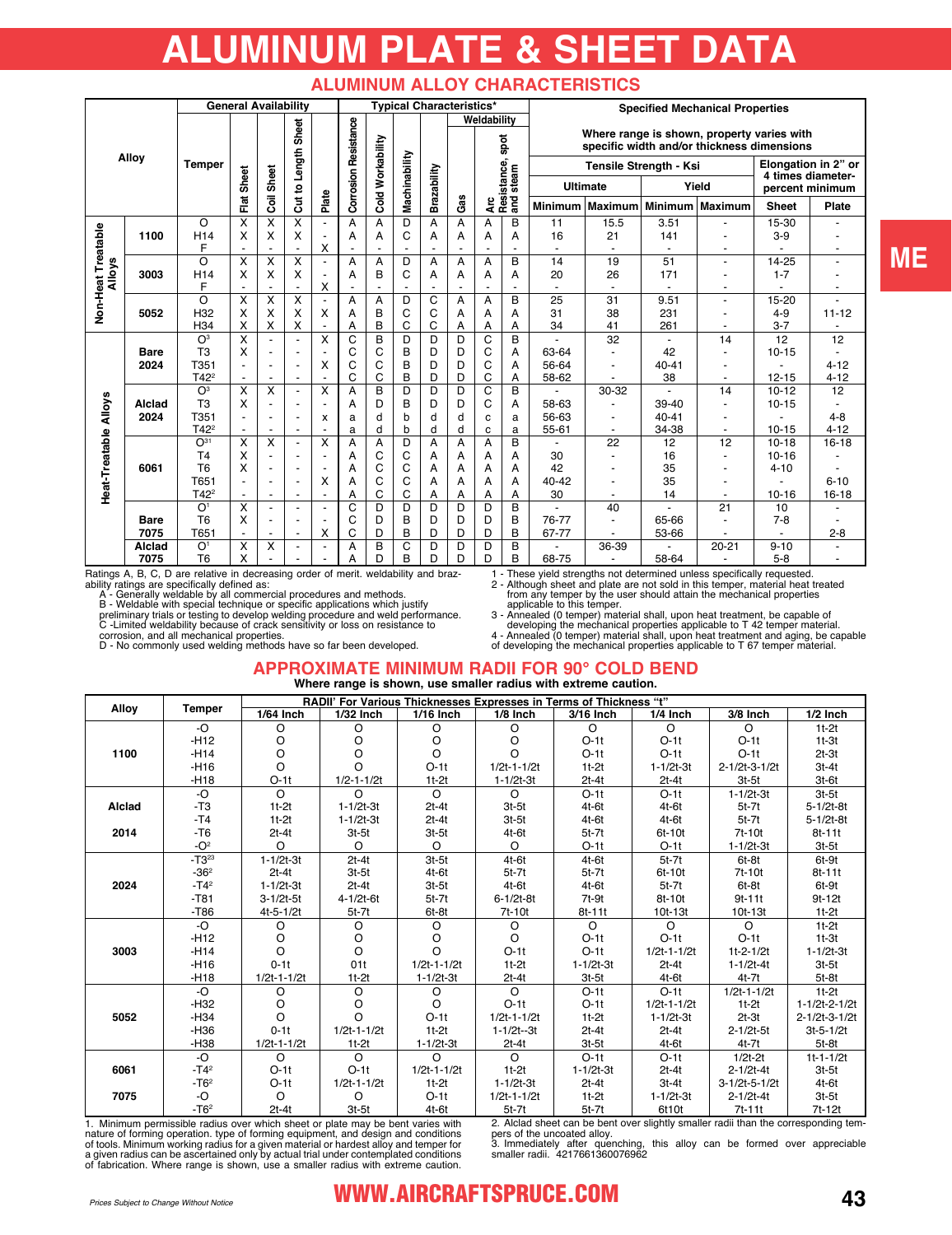# **ALUMINUM PLATE & SHEET DATA**

#### **ALUMINUM ALLOY CHARACTERISTICS**

|                    |             | <b>General Availability</b> |                         |                         |                          |                          | <b>Typical Characteristics*</b> |                         |               |                |       |                                          |                             | <b>Specified Mechanical Properties</b> |                        |                 |                          |                                      |                          |  |  |  |                                                                                          |  |  |
|--------------------|-------------|-----------------------------|-------------------------|-------------------------|--------------------------|--------------------------|---------------------------------|-------------------------|---------------|----------------|-------|------------------------------------------|-----------------------------|----------------------------------------|------------------------|-----------------|--------------------------|--------------------------------------|--------------------------|--|--|--|------------------------------------------------------------------------------------------|--|--|
|                    |             |                             |                         |                         |                          |                          |                                 |                         |               |                |       | Weldability                              |                             |                                        |                        |                 |                          |                                      |                          |  |  |  |                                                                                          |  |  |
| Alloy              |             |                             |                         |                         |                          |                          |                                 |                         |               |                | Sheet |                                          | <b>Corrosion Resistance</b> |                                        |                        |                 |                          |                                      | spot                     |  |  |  | Where range is shown, property varies with<br>specific width and/or thickness dimensions |  |  |
|                    |             | <b>Temper</b>               |                         |                         |                          |                          |                                 |                         |               |                |       |                                          |                             |                                        | Tensile Strength - Ksi |                 |                          |                                      | Elongation in 2" or      |  |  |  |                                                                                          |  |  |
|                    |             | Sheet                       |                         | Sheet                   | Cut to Length            |                          |                                 | Cold Workability        | Machinability | Brazability    |       |                                          |                             | <b>Ultimate</b>                        |                        |                 | Yield                    | 4 times diameter-<br>percent minimum |                          |  |  |  |                                                                                          |  |  |
|                    |             |                             | Flat                    | ā                       |                          | Plate                    |                                 |                         |               |                |       | Arc<br>Resistance, s<br>and steam<br>Gas |                             | <b>Minimum</b>                         | <b>Maximum</b>         |                 | Minimum Maximum          | <b>Sheet</b>                         | Plate                    |  |  |  |                                                                                          |  |  |
|                    |             | O                           | X                       | X                       | X                        |                          | A                               | A                       | D             | Α              | Α     | A                                        | B                           | 11                                     | 15.5                   | 3.51            |                          | 15-30                                |                          |  |  |  |                                                                                          |  |  |
|                    | 1100        | H <sub>14</sub>             | X                       | X                       | X                        |                          | A                               | A                       | C             | A              | Α     | A                                        | A                           | 16                                     | 21                     | 141             |                          | $3-9$                                |                          |  |  |  |                                                                                          |  |  |
|                    |             | F                           |                         |                         | ÷                        | Χ                        |                                 |                         |               |                |       |                                          |                             |                                        |                        |                 | $\blacksquare$           |                                      | $\overline{\phantom{a}}$ |  |  |  |                                                                                          |  |  |
| <b>Alloys</b>      |             | O                           | $\overline{\mathsf{x}}$ | $\overline{\mathsf{x}}$ | $\overline{\mathsf{x}}$  |                          | A                               | A                       | D             | A              | Α     | A                                        | B                           | 14                                     | 19                     | $\overline{51}$ | ä,                       | 14-25                                |                          |  |  |  |                                                                                          |  |  |
|                    | 3003        | H <sub>14</sub>             | X                       | X                       | Χ                        |                          | A                               | B                       | C             | Α              | Α     | Α                                        | А                           | 20                                     | 26                     | 171             |                          | $1 - 7$                              |                          |  |  |  |                                                                                          |  |  |
|                    |             | F                           | $\blacksquare$          |                         | ÷.                       | X                        |                                 | $\overline{a}$          |               | $\overline{a}$ |       | ٠                                        | $\overline{a}$              |                                        | ٠                      |                 | ٠                        |                                      | ٠                        |  |  |  |                                                                                          |  |  |
|                    |             | O                           | X                       | X                       | X                        |                          | A                               | А                       | D             | C              | А     | A                                        | B                           | 25                                     | 31                     | 9.51            |                          | 15-20                                |                          |  |  |  |                                                                                          |  |  |
| Non-Heat Treatable | 5052        | H32                         | X                       | X                       | X                        | X                        | A                               | B                       | C             | C              | A     | A                                        | A                           | 31                                     | 38                     | 231             |                          | $4 - 9$                              | $11 - 12$                |  |  |  |                                                                                          |  |  |
|                    |             | H34                         | X                       | X                       | Χ                        |                          | Α                               | B                       | C             | C              | A     | А                                        | А                           | 34                                     | 41                     | 261             |                          | $3 - 7$                              |                          |  |  |  |                                                                                          |  |  |
|                    |             | O <sup>3</sup>              | $\overline{\mathsf{x}}$ |                         | $\blacksquare$           | X                        | $\overline{C}$                  | $\overline{\mathsf{B}}$ | D             | D              | D     | $\overline{C}$                           | $\overline{\mathsf{B}}$     |                                        | 32                     |                 | 14                       | 12                                   | 12                       |  |  |  |                                                                                          |  |  |
|                    | <b>Bare</b> | T <sub>3</sub>              | X                       | ٠                       | $\blacksquare$           |                          | C                               | C                       | B             | D              | D     | C                                        | Α                           | 63-64                                  |                        | 42              | ٠                        | $10 - 15$                            |                          |  |  |  |                                                                                          |  |  |
|                    | 2024        | T351                        |                         | ٠                       | $\blacksquare$           | х                        | C                               | C                       | B             | D              | D     | C                                        | A                           | 56-64                                  | ۰                      | $40 - 41$       | ٠                        |                                      | $4 - 12$                 |  |  |  |                                                                                          |  |  |
|                    |             | $T42^2$                     | $\blacksquare$          | ٠                       | $\blacksquare$           | $\overline{\phantom{a}}$ | C                               | C                       | B             | D              | D     | C                                        | Α                           | 58-62                                  |                        | 38              | $\overline{\phantom{a}}$ | $12 - 15$                            | $4 - 12$                 |  |  |  |                                                                                          |  |  |
|                    |             | O <sup>3</sup>              | X                       | X                       | $\blacksquare$           | X                        | A                               | $\overline{B}$          | D             | D              | D     | $\overline{C}$                           | B                           |                                        | 30-32                  |                 | 14                       | $10 - 12$                            | 12                       |  |  |  |                                                                                          |  |  |
|                    | Alclad      | T <sub>3</sub>              | X                       |                         |                          |                          | A                               | D                       | B             | D              | D     | C                                        | A                           | 58-63                                  |                        | 39-40           |                          | $10 - 15$                            |                          |  |  |  |                                                                                          |  |  |
| <b>Alloys</b>      | 2024        | T351                        |                         |                         | $\blacksquare$           | x                        | a                               | d                       | b             | d              | d     | C                                        | a                           | 56-63                                  | $\blacksquare$         | $40 - 41$       |                          |                                      | $4 - 8$                  |  |  |  |                                                                                          |  |  |
|                    |             | $T42^2$                     |                         |                         |                          |                          | a                               | d                       | b             | d              | d     | C                                        | a                           | $55 - 61$                              | $\blacksquare$         | 34-38           | $\overline{a}$           | $10 - 15$                            | $4 - 12$                 |  |  |  |                                                                                          |  |  |
| Heat-Treatable     |             | $O^{31}$                    | $\overline{\mathsf{x}}$ | $\overline{\mathsf{x}}$ | $\overline{\phantom{a}}$ | X                        | A                               | A                       | D             | A              | A     | A                                        | B                           |                                        | 22                     | 12              | 12                       | $10 - 18$                            | $16 - 18$                |  |  |  |                                                                                          |  |  |
|                    |             | T <sub>4</sub>              | X                       |                         | $\blacksquare$           |                          | A                               | C                       | C             | A              | Α     | A                                        | A                           | 30                                     |                        | 16              | $\overline{a}$           | $10 - 16$                            |                          |  |  |  |                                                                                          |  |  |
|                    | 6061        | T <sub>6</sub>              | X                       |                         | ٠                        |                          | A                               | C                       | C             | A              | A     | A                                        | Α                           | 42                                     |                        | 35              |                          | $4 - 10$                             |                          |  |  |  |                                                                                          |  |  |
|                    |             | T651                        | $\blacksquare$          |                         | $\blacksquare$           | Χ                        | A                               | C                       | C             | A              | А     | A                                        | А                           | 40-42                                  |                        | 35              |                          |                                      | $6 - 10$                 |  |  |  |                                                                                          |  |  |
|                    |             | $T42^2$                     | $\blacksquare$          |                         |                          |                          | Α                               | C                       | C             | A              | А     | A                                        | Α                           | 30                                     |                        | 14              | ÷                        | $10 - 16$                            | $16 - 18$                |  |  |  |                                                                                          |  |  |
|                    |             | O <sup>1</sup>              | X                       |                         | ٠                        |                          | C                               | D                       | D             | D              | D     | D                                        | B                           |                                        | 40                     |                 | 21                       | 10                                   |                          |  |  |  |                                                                                          |  |  |
|                    | <b>Bare</b> | T <sub>6</sub>              | X                       |                         | $\overline{\phantom{a}}$ |                          | C                               | D                       | B             | D              | D     | D                                        | B                           | 76-77                                  | $\blacksquare$         | 65-66           |                          | $7 - 8$                              |                          |  |  |  |                                                                                          |  |  |
|                    | 7075        | T651                        |                         |                         | $\blacksquare$           | x                        | C                               | D                       | B             | D              | D     | D                                        | B                           | 67-77                                  |                        | 53-66           |                          |                                      | $2 - 8$                  |  |  |  |                                                                                          |  |  |
|                    | Alclad      | O <sup>1</sup>              | X                       | X                       | $\blacksquare$           |                          | A                               | B                       | C             | D              | D     | D                                        | B                           |                                        | 36-39                  |                 | $20 - 21$                | $9 - 10$                             |                          |  |  |  |                                                                                          |  |  |
|                    | 7075        | T <sub>6</sub>              | X                       |                         |                          |                          | А                               | D                       | B             | D              | D     | D                                        | B                           | 68-75                                  |                        | 58-64           |                          | $5 - 8$                              |                          |  |  |  |                                                                                          |  |  |

Ratings A, B, C, D are relative in decreasing order of merit. weldability and brazability ratings are specifically defined as:

A - Generally weldable by all commercial procedures and methods.<br>B - Weldable with special technique or specific applications which justify<br>preliminary trials or testing to develop welding procedure and weld performance.<br>C

D - No commonly used welding methods have so far been developed.

1 - These yield strengths not determined unless specifically requested. 2 - Although sheet and plate are not sold in this temper, material heat treated from any temper by the user should attain the mechanical properties applicable to this temper.

3 - Annealed (0 temper) material shall, upon heat treatment, be capable of<br>developing the mechanical properties applicable to T 42 temper material.<br>4 - Annealed (0 temper) material shall, upon heat treatment and aging, be

#### **APPROXIMATE MINIMUM RADII FOR 90° COLD BEND Where range is shown, use smaller radius with extreme caution.**

|        |               | RADII' For Various Thicknesses Expresses in Terms of Thickness "t" |                   |                   |                   |                 |                   |                   |                 |  |  |  |  |
|--------|---------------|--------------------------------------------------------------------|-------------------|-------------------|-------------------|-----------------|-------------------|-------------------|-----------------|--|--|--|--|
| Alloy  | <b>Temper</b> | 1/64 Inch                                                          | 1/32 Inch         | 1/16 Inch         | $1/8$ Inch        | 3/16 Inch       | 1/4 Inch          | 3/8 Inch          | 1/2 Inch        |  |  |  |  |
|        | $-O$          | O                                                                  | O                 | O                 | O                 | $\circ$         | $\circ$           | $\circ$           | $1t-2t$         |  |  |  |  |
|        | $-H12$        | O                                                                  | O                 | O                 | O                 | $O-1t$          | $O-1t$            | $O-1t$            | $1t-3t$         |  |  |  |  |
| 1100   | $-H14$        | O                                                                  | O                 | O                 | $\Omega$          | $O-1t$          | $O-1t$            | $O-1t$            | $2t-3t$         |  |  |  |  |
|        | $-H16$        | O                                                                  | O                 | $O-1t$            | $1/2t - 1 - 1/2t$ | $1t-2t$         | $1 - 1/2t - 3t$   | 2-1/2t-3-1/2t     | $3t-4t$         |  |  |  |  |
|        | $-H18$        | $O-1t$                                                             | $1/2 - 1 - 1/2t$  | $1t-2t$           | $1 - 1/2t - 3t$   | $2t-4t$         | $2t-4t$           | $3t-5t$           | $3t-6t$         |  |  |  |  |
|        | $-O$          | $\Omega$                                                           | $\circ$           | $\circ$           | $\circ$           | $O-1t$          | $O-1t$            | $1 - 1/2t - 3t$   | $3t-5t$         |  |  |  |  |
| Alclad | $-T3$         | $1t-2t$                                                            | $1 - 1/2t - 3t$   | $2t-4t$           | $3t-5t$           | $4t-6t$         | $4t-6t$           | $5t-7t$           | $5 - 1/2t - 8t$ |  |  |  |  |
|        | $-T4$         | $1t-2t$                                                            | $1 - 1/2t - 3t$   | $2t-4t$           | $3t-5t$           | $4t-6t$         | $4t-6t$           | $5t-7t$           | 5-1/2t-8t       |  |  |  |  |
| 2014   | $-T6$         | $2t-4t$                                                            | $3t-5t$           | $3t-5t$           | $4t-6t$           | $5t-7t$         | 6t-10t            | 7t-10t            | $8t-11t$        |  |  |  |  |
|        | $-O2$         | $\circ$                                                            | $\Omega$          | $\circ$           | $\circ$           | $O-1t$          | $O-1t$            | $1 - 1/2t - 3t$   | $3t-5t$         |  |  |  |  |
|        | $-T3^{23}$    | $1 - 1/2t - 3t$                                                    | $2t-4t$           | $3t-5t$           | $4t-6t$           | $4t-6t$         | $5t-7t$           | $6t-8t$           | $6t-9t$         |  |  |  |  |
|        | $-362$        | $2t-4t$                                                            | $3t-5t$           | $4t-6t$           | $5t-7t$           | $5t-7t$         | 6t-10t            | 7t-10t            | $8t-11t$        |  |  |  |  |
| 2024   | $-T42$        | $1 - 1/2t - 3t$                                                    | $2t-4t$           | $3t-5t$           | $4t-6t$           | $4t-6t$         | $5t-7t$           | 6t-8t             | 6t-9t           |  |  |  |  |
|        | $-T81$        | $3 - 1/2t - 5t$                                                    | 4-1/2t-6t         | $5t-7t$           | $6 - 1/2t - 8t$   | $7t-9t$         | 8t-10t            | $9t-11t$          | 9t-12t          |  |  |  |  |
|        | $-T86$        | $4t - 5 - 1/2t$                                                    | $5t-7t$           | $6t-8t$           | 7t-10t            | 8t-11t          | $10t-13t$         | $10t-13t$         | $1t-2t$         |  |  |  |  |
|        | $-O$          | $\circ$                                                            | O                 | $\circ$           | $\circ$           | $\Omega$        | $\circ$           | $\Omega$          | $1t-2t$         |  |  |  |  |
|        | $-H12$        | O                                                                  | O                 | O                 | $\Omega$          | $O-1t$          | $O-1t$            | $O-1t$            | $1t-3t$         |  |  |  |  |
| 3003   | $-H14$        | $\Omega$                                                           | O                 | O                 | $O-1t$            | $O-1t$          | $1/2t - 1 - 1/2t$ | $1t-2-1/2t$       | $1 - 1/2t - 3t$ |  |  |  |  |
|        | $-H16$        | $0-1t$                                                             | 01t               | $1/2t - 1 - 1/2t$ | $1t-2t$           | $1 - 1/2t - 3t$ | $2t-4t$           | $1 - 1/2t - 4t$   | $3t-5t$         |  |  |  |  |
|        | $-H18$        | $1/2t - 1 - 1/2t$                                                  | $1t-2t$           | $1 - 1/2t - 3t$   | $2t-4t$           | $3t-5t$         | $4t-6t$           | $4t-7t$           | $5t-8t$         |  |  |  |  |
|        | $-O$          | $\circ$                                                            | O                 | O                 | $\overline{O}$    | $O-1t$          | $O-1t$            | $1/2t - 1 - 1/2t$ | $1t-2t$         |  |  |  |  |
|        | -H32          | O                                                                  | O                 | $\circ$           | $O-1t$            | $O-1t$          | $1/2t - 1 - 1/2t$ | $1t-2t$           | 1-1/2t-2-1/2t   |  |  |  |  |
| 5052   | $-H34$        | O                                                                  | $\Omega$          | $O-1t$            | $1/2t - 1 - 1/2t$ | $1t-2t$         | $1 - 1/2t - 3t$   | $2t-3t$           | 2-1/2t-3-1/2t   |  |  |  |  |
|        | $-H36$        | $0-1t$                                                             | $1/2t - 1 - 1/2t$ | $1t-2t$           | $1 - 1/2t - 3t$   | $2t-4t$         | $2t-4t$           | $2 - 1/2t - 5t$   | $3t-5-1/2t$     |  |  |  |  |
|        | $-H38$        | $1/2t - 1 - 1/2t$                                                  | $1t-2t$           | $1 - 1/2t - 3t$   | $2t-4t$           | $3t-5t$         | $4t-6t$           | $4t-7t$           | $5t-8t$         |  |  |  |  |
|        | -O            | $\Omega$                                                           | $\Omega$          | $\Omega$          | $\Omega$          | $O-1t$          | $O-1t$            | $1/2t-2t$         | $1t - 1 - 1/2t$ |  |  |  |  |
| 6061   | $-T42$        | $O-1t$                                                             | $O-1t$            | $1/2t - 1 - 1/2t$ | $1t-2t$           | $1 - 1/2t - 3t$ | $2t-4t$           | $2 - 1/2t - 4t$   | $3t-5t$         |  |  |  |  |
|        | $-T62$        | $O-1t$                                                             | $1/2t - 1 - 1/2t$ | $1t-2t$           | $1 - 1/2t - 3t$   | $2t-4t$         | $3t-4t$           | 3-1/2t-5-1/2t     | $4t-6t$         |  |  |  |  |
| 7075   | -O            | $\Omega$                                                           | O                 | $O-1t$            | $1/2t - 1 - 1/2t$ | $1t-2t$         | $1 - 1/2t - 3t$   | $2 - 1/2t - 4t$   | $3t-5t$         |  |  |  |  |
|        | $-T62$        | $2t-4t$                                                            | $3t-5t$           | $4t-6t$           | $5t-7t$           | $5t-7t$         | 6t10t             | $7t - 11t$        | 7t-12t          |  |  |  |  |

1. Minimum permissible radius over which sheet or plate may be bent varies with nature of forming operation. type of forming equipment, and design and conditions of tools. Minimum working radius for a given material or hardest alloy and temper for a given radius can be ascertained only by actual trial under contemplated conditions of fabrication. Where range is shown, use a smaller radius with extreme caution.

2. Alclad sheet can be bent over slightly smaller radii than the corresponding tem-<br>pers of the uncoated alloy.<br>3. Immediately after quenching, this alloy can be formed over appreciable<br>smaller radii. 4217661360076962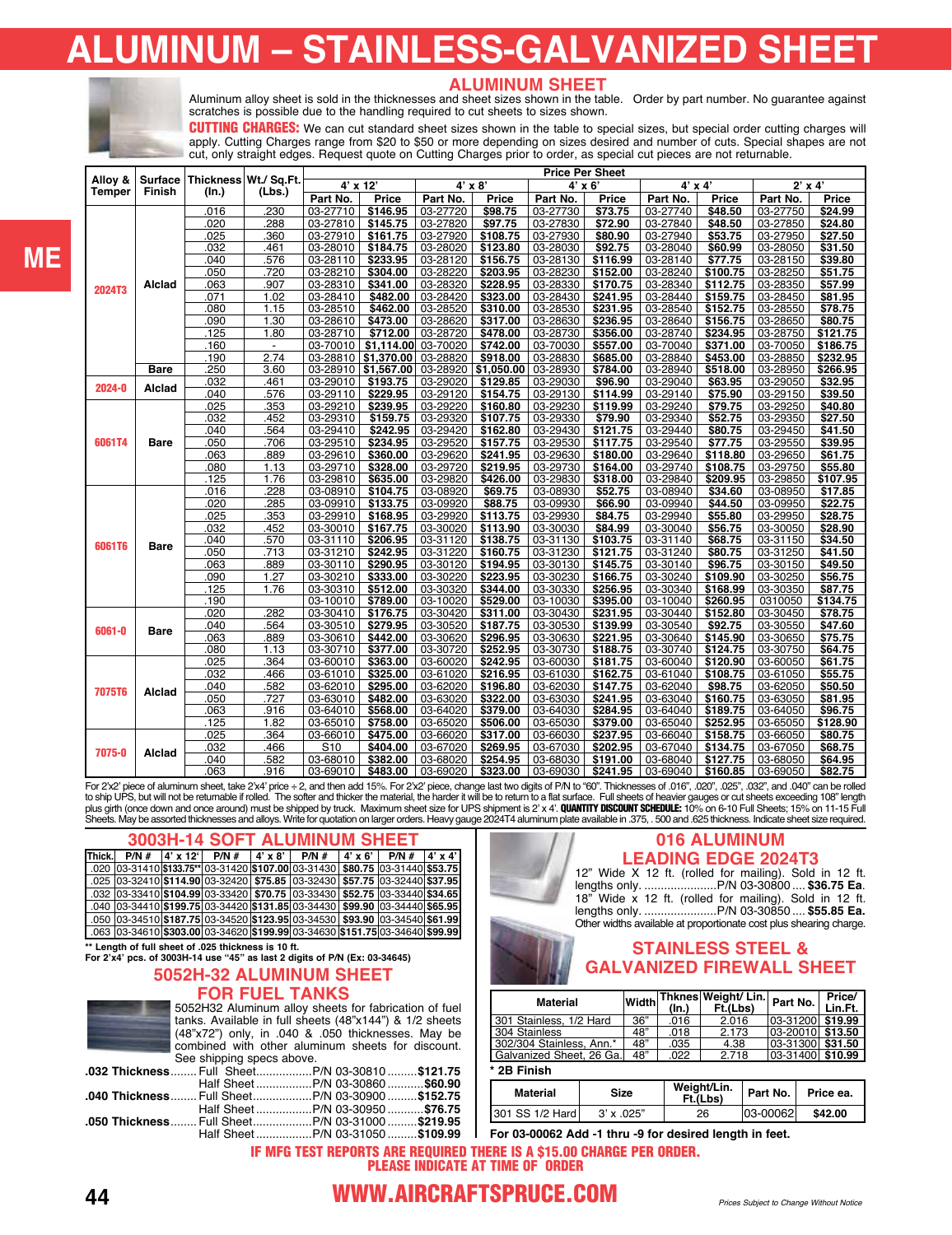# **ALUMINUM – STAINLESS-GALVANIZED SHEET**



#### **ALUMINUM SHEET**

Aluminum alloy sheet is sold in the thicknesses and sheet sizes shown in the table. Order by part number. No guarantee against scratches is possible due to the handling required to cut sheets to sizes shown.

**CUTTING CHARGES:** We can cut standard sheet sizes shown in the table to special sizes, but special order cutting charges will apply. Cutting Charges range from \$20 to \$50 or more depending on sizes desired and number of cuts. Special shapes are not cut, only straight edges. Request quote on Cutting Charges prior to order, as special cut pieces are not returnable.

| Alloy &       |             |              | Thickness Wt./ Sq.Ft. |                      |                      |                      |                      | <b>Price Per Sheet</b> |                      |                      |                    |                      |                    |
|---------------|-------------|--------------|-----------------------|----------------------|----------------------|----------------------|----------------------|------------------------|----------------------|----------------------|--------------------|----------------------|--------------------|
|               | Surface     |              |                       |                      | $4'$ x 12'           |                      | $4' \times 8'$       | 4' x 6'                |                      | $4' \times 4'$       |                    | $2'$ x 4'            |                    |
| <b>Temper</b> | Finish      | (In.)        | (Lbs.)                | Part No.             | Price                | Part No.             | Price                | Part No.               | Price                | Part No.             | Price              | Part No.             | Price              |
|               |             | .016         | .230                  | 03-27710             | \$146.95             | 03-27720             | \$98.75              | 03-27730               | \$73.75              | 03-27740             | \$48.50            | 03-27750             | \$24.99            |
|               |             | .020         | .288                  | 03-27810             | \$145.75             | 03-27820             | \$97.75              | 03-27830               | \$72.90              | 03-27840             | \$48.50            | 03-27850             | \$24.80            |
|               |             | .025         | .360                  | 03-27910             | \$161.75             | 03-27920             | \$108.75             | 03-27930               | \$80.90              | 03-27940             | \$53.75            | 03-27950             | \$27.50            |
|               |             | .032         | 461                   | 03-28010             | \$184.75             | 03-28020             | \$123.80             | 03-28030               | \$92.75              | 03-28040             | \$60.99            | 03-28050             | \$31.50            |
|               |             | .040         | .576                  | 03-28110             | \$233.95             | 03-28120             | \$156.75             | 03-28130               | \$116.99             | 03-28140             | \$77.75            | 03-28150             | \$39.80            |
|               |             | .050         | .720                  | 03-28210             | \$304.00             | 03-28220             | \$203.95             | 03-28230               | \$152.00             | 03-28240             | \$100.75           | 03-28250             | \$51.75            |
| <b>2024T3</b> | Alclad      | .063         | .907                  | 03-28310             | \$341.00             | 03-28320             | \$228.95             | 03-28330               | \$170.75             | 03-28340             | \$112.75           | 03-28350             | \$57.99            |
|               |             | .071         | 1.02                  | 03-28410             | \$482.00             | 03-28420             | \$323.00             | 03-28430               | \$241.95             | 03-28440             | \$159.75           | 03-28450             | \$81.95            |
|               |             | .080         | 1.15                  | 03-28510             | \$462.00             | 03-28520             | \$310.00             | 03-28530               | \$231.95             | 03-28540             | \$152.75           | 03-28550             | \$78.75            |
|               |             | .090         | 1.30                  | 03-28610             | \$473.00             | 03-28620             | \$317.00             | 03-28630               | \$236.95             | 03-28640             | \$156.75           | 03-28650             | \$80.75            |
|               |             | .125         | 1.80                  | 03-28710             | \$712.00             | 03-28720             | \$478.00             | 03-28730               | \$356.00             | 03-28740             | \$234.95           | 03-28750             | \$121.75           |
|               |             | .160         | $\overline{a}$        | 03-70010             | \$1,114.00           | 03-70020             | \$742.00             | 03-70030               | \$557.00             | 03-70040             | \$371.00           | 03-70050             | \$186.75           |
|               |             | .190         | 2.74                  | 03-28810             | \$1,370.00           | 03-28820             | \$918.00             | 03-28830               | \$685.00             | 03-28840             | \$453.00           | 03-28850             | \$232.95           |
|               | <b>Bare</b> | 250          | 3.60                  | 03-28910             | \$1,567.00           | 03-28920             | \$1.050.00           | 03-28930               | \$784.00             | 03-28940             | \$518.00           | 03-28950             | \$266.95           |
| 2024-0        | Alclad      | .032         | 461                   | 03-29010             | \$193.75             | 03-29020             | \$129.85             | 03-29030               | \$96.90              | 03-29040             | \$63.95            | 03-29050             | \$32.95            |
|               |             | .040         | 576                   | 03-29110             | \$229.95             | 03-29120             | \$154.75             | 03-29130               | \$114.99             | 03-29140             | \$75.90            | 03-29150             | \$39.50            |
|               |             | .025         | 353                   | $03 - 29210$         | \$239.95             | 03-29220             | \$160.80             | 03-29230               | \$119.99             | 03-29240             | \$79.75            | 03-29250             | \$40.80            |
|               |             | .032         | 452                   | 03-29310             | \$159.75             | 03-29320             | \$107.75             | 03-29330               | \$79.90              | 03-29340             | \$52.75            | 03-29350             | \$27.50            |
|               |             | 040          | 564                   | 03-29410             | \$242.95             | 03-29420             | \$162.80             | 03-29430               | \$121.75             | 03-29440             | \$80.75            | 03-29450             | \$41.50            |
| 6061T4        | Bare        | .050         | .706                  | 03-29510             | \$234.95             | 03-29520             | \$157.75             | 03-29530               | \$117.75             | 03-29540             | \$77.75            | 03-29550             | \$39.95            |
|               |             | .063         | .889                  | 03-29610             | \$360.00             | 03-29620             | \$241.95             | 03-29630               | \$180.00             | 03-29640             | \$118.80           | 03-29650             | \$61.75            |
|               |             | .080         | 1.13                  | $03 - 29710$         | \$328.00             | 03-29720             | \$219.95             | 03-29730               | \$164.00             | 03-29740             | \$108.75           | 03-29750             | \$55.80            |
|               |             | .125         | 1.76                  | 03-29810             | \$635.00             | 03-29820             | \$426.00             | 03-29830               | \$318.00             | 03-29840             | \$209.95           | 03-29850             | \$107.95           |
|               |             | .016         | 228                   | 03-08910             | \$104.75             | 03-08920             | \$69.75              | 03-08930               | \$52.75              | 03-08940             | \$34.60            | 03-08950             | \$17.85            |
|               |             | .020         | 285                   | 03-09910             | \$133.75             | 03-09920             | \$88.75              | 03-09930               | \$66.90              | 03-09940             | \$44.50            | 03-09950             | \$22.75            |
|               |             | .025         | 353                   | 03-29910             | \$168.95             | 03-29920             | \$113.75             | 03-29930               | \$84.75              | 03-29940             | \$55.80            | 03-29950             | \$28.75            |
|               |             | .032         | .452                  | 03-30010             | \$167.75             | 03-30020             | \$113.90             | 03-30030               | \$84.99              | 03-30040             | \$56.75            | 03-30050             | \$28.90            |
| 6061T6        | <b>Bare</b> | .040         | .570                  | 03-31110             | \$206.95<br>\$242.95 | 03-31120             | \$138.75             | 03-31130               | \$103.75             | 03-31140             | \$68.75<br>\$80.75 | 03-31150             | \$34.50            |
|               |             | .050<br>.063 | .713<br>.889          | 03-31210<br>03-30110 | \$290.95             | 03-31220<br>03-30120 | \$160.75<br>\$194.95 | 03-31230<br>03-30130   | \$121.75<br>\$145.75 | 03-31240<br>03-30140 | \$96.75            | 03-31250<br>03-30150 | \$41.50<br>\$49.50 |
|               |             | .090         | 1.27                  | 03-30210             | \$333.00             | 03-30220             | \$223.95             | 03-30230               | \$166.75             | 03-30240             | \$109.90           | 03-30250             | \$56.75            |
|               |             | .125         | 1.76                  | 03-30310             | \$512.00             | 03-30320             | \$344.00             | 03-30330               | \$256.95             | 03-30340             | \$168.99           | 03-30350             | \$87.75            |
|               |             | .190         |                       | 03-10010             | \$789.00             | 03-10020             | \$529.00             | 03-10030               | \$395.00             | 03-10040             | \$260.95           | 0310050              | \$134.75           |
|               |             | .020         | .282                  | 03-30410             | \$176.75             | 03-30420             | \$311.00             | 03-30430               | \$231.95             | 03-30440             | \$152.80           | 03-30450             | \$78.75            |
|               |             | .040         | 564                   | 03-30510             | \$279.95             | 03-30520             | \$187.75             | 03-30530               | \$139.99             | 03-30540             | \$92.75            | 03-30550             | \$47.60            |
| 6061-0        | Bare        | .063         | .889                  | 03-30610             | \$442.00             | 03-30620             | \$296.95             | 03-30630               | \$221.95             | 03-30640             | \$145.90           | 03-30650             | \$75.75            |
|               |             | .080         | 1.13                  | 03-30710             | \$377.00             | 03-30720             | \$252.95             | 03-30730               | \$188.75             | 03-30740             | \$124.75           | 03-30750             | \$64.75            |
|               |             | .025         | .364                  | 03-60010             | \$363.00             | 03-60020             | \$242.95             | 03-60030               | \$181.75             | 03-60040             | \$120.90           | 03-60050             | \$61.75            |
|               |             | .032         | 466                   | 03-61010             | \$325.00             | 03-61020             | \$216.95             | 03-61030               | \$162.75             | 03-61040             | \$108.75           | 03-61050             | \$55.75            |
|               |             | .040         | 582                   | 03-62010             | \$295.00             | 03-62020             | \$196.80             | 03-62030               | \$147.75             | 03-62040             | \$98.75            | 03-62050             | \$50.50            |
| <b>7075T6</b> | Alclad      | .050         | 727                   | 03-63010             | \$482.00             | 03-63020             | \$322.00             | 03-63030               | \$241.95             | 03-63040             | \$160.75           | 03-63050             | \$81.95            |
|               |             | .063         | .916                  | $03 - 64010$         | \$568.00             | 03-64020             | \$379.00             | 03-64030               | \$284.95             | 03-64040             | \$189.75           | 03-64050             | \$96.75            |
|               |             | .125         | 1.82                  | 03-65010             | \$758.00             | 03-65020             | \$506.00             | 03-65030               | \$379.00             | 03-65040             | \$252.95           | 03-65050             | \$128.90           |
|               |             | .025         | .364                  | 03-66010             | \$475.00             | 03-66020             | \$317.00             | 03-66030               | \$237.95             | 03-66040             | \$158.75           | 03-66050             | \$80.75            |
|               |             | .032         | 466                   | S10                  | \$404.00             | 03-67020             | \$269.95             | 03-67030               | \$202.95             | 03-67040             | \$134.75           | 03-67050             | \$68.75            |
| 7075-0        | Alclad      | 040          | 582                   | 03-68010             | \$382.00             | 03-68020             | \$254.95             | 03-68030               | \$191.00             | 03-68040             | \$127.75           | 03-68050             | \$64.95            |
|               |             | .063         | .916                  | 03-69010             | \$483.00             | 03-69020             | \$323.00             | 03-69030               | \$241.95             | 03-69040             | \$160.85           | 03-69050             | \$82.75            |

For 2'x2' piece of aluminum sheet, take 2'x4' price ÷ 2, and then add 15%. For 2'x2' piece, change last two digits of P/N to "60". Thicknesses of .016", .020", .025", .032", and .040" can be rolled to ship UPS, but will not be returnable if rolled. The softer and thicker the material, the harder it will be to return to a flat surface. Full sheets of heavier gauges or cut sheets exceeding 108" length<br>plus girth (once

#### **3003H-14 SOFT ALUMINUM SHEET**

| Thick. | $P/N \#$ | $4'$ x 12 <sup><math>\cdot</math></sup> | P/N#                                                                                                                 | $4' \times 8'$ | P/N# | $4' \times 6'$ | P/N# | $ 4' \times 4' $ |
|--------|----------|-----------------------------------------|----------------------------------------------------------------------------------------------------------------------|----------------|------|----------------|------|------------------|
|        |          |                                         | 022(953.75) 93-31410 133.75** 03-31420 107.00 103-31430 \$80.75 103-31440 −03-31440                                  |                |      |                |      |                  |
|        |          |                                         | l .025  03-32410 \$114.90  03-32420   \$75.85   03-32430   \$57.75  03-32440 \$37.95                                 |                |      |                |      |                  |
|        |          |                                         | .032  03-33410 <b>\$104.99</b>   03-33420 <b>  \$70.75  </b> 03-33430 <b>  \$52.75  </b> 03-33440 <b>  \$34.65  </b> |                |      |                |      |                  |
|        |          |                                         | 040 03-34410 \$199.75 03-34420 \$131.85 03-34430   \$99.90 03-34440 \$65.95   040   03-34440 \$65.95                 |                |      |                |      |                  |
|        |          |                                         | 058(03-34540) 03-34510 187.75   03-34520  \$123.95   03-34530   \$93.90   03-34540   03-34510                        |                |      |                |      |                  |
|        |          |                                         | .063 03-34610 \$303.00 03-34620 \$199.99 03-34630 \$151.75 03-34640 \$99.99 063 03-34610 \$                          |                |      |                |      |                  |

### **[\\*\\* Length of full sheet of .025 thickness is 10 ft.](https://www.aircraftspruce.com/template.php?PN=3003_alsheet.php)  For 2'x4' pcs. of 3003H-14 use "45" as last 2 digits of P/N (Ex[: 03-34645](https://www.aircraftspruce.com/catalog/pnpages/03-34645.php))**

#### **5052H-32 ALUMINUM SHEET FOR FUEL TANKS**

5052H32 Aluminum alloy sheets for fabrication of fuel tanks. Available in full sheets (48"x144") & 1/2 sheets (48"x72") only, in .040 & .050 thicknesses. May be combined with other aluminum sheets for discount. See shipping specs above.

|  | .032 Thickness  Full SheetP/N 03-30810 \$121.75 |  |
|--|-------------------------------------------------|--|
|  |                                                 |  |
|  | .040 Thickness Full SheetP/N 03-30900\$152.75   |  |
|  |                                                 |  |
|  | .050 Thickness Full SheetP/N 03-31000\$219.95   |  |
|  |                                                 |  |

#### **016 ALUMINUM LEADING EDGE 2024T3**

12" Wide X 12 ft. (rolled for mailing). Sold in 12 ft. lengths only. ......................P/[N 03-30800](https://www.aircraftspruce.com/catalog/pnpages/03-30800.php) .... **\$36.75 Ea**. 18" Wide x 12 ft. (rolled for mailing). Sold in 12 ft. lengths only. ......................P/[N 03-30850](https://www.aircraftspruce.com/catalog/pnpages/03-30850.php) .... **\$55.85 Ea.** Other widths available at proportionate cost plus shearing charge.

#### **STAINLESS STEEL & GALVANIZED FIREWALL SHEET**

| <b>Material</b>          |     | $($ ln. $)$ | $w$ idth Thknes Weight/ Lin. Part No.<br>Ft.(Lbs) |                      | Price/<br>Lin.Ft. |
|--------------------------|-----|-------------|---------------------------------------------------|----------------------|-------------------|
| 301 Stainless, 1/2 Hard  | 36" | .016        | 2.016                                             | 03-31200 \$19.99     |                   |
| 304 Stainless            | 48" | .018        | 2.173                                             | 03-20010 \$13.50     |                   |
| 302/304 Stainless, Ann.* | 48" | .035        | 4.38                                              | 03-31300 \$31.50     |                   |
| Galvanized Sheet, 26 Ga. | 48" | .022        | 2.718                                             | $ 03-31400 $ \$10.99 |                   |
| $*$ OD Einigh            |     |             |                                                   |                      |                   |

**\* 2B Finish**

| -- - - - - - - - - |                   |                         |          |           |
|--------------------|-------------------|-------------------------|----------|-----------|
| Material           | Size              | Weight/Lin.<br>Ft.(Lbs) | Part No. | Price ea. |
| 301 SS 1/2 Hard    | $3' \times .025"$ | 26                      | 03-00062 | \$42.00   |
|                    |                   |                         |          |           |

**For [03-00062](https://www.aircraftspruce.com/catalog/pnpages/03-00062.php) Add -1 thru -9 for desired length in feet.**

#### IF MFG TEST REPORTS ARE REQUIRED THERE IS A \$15.00 CHARGE PER ORDER. PLEASE INDICATE AT TIME OF ORDER

# **ME**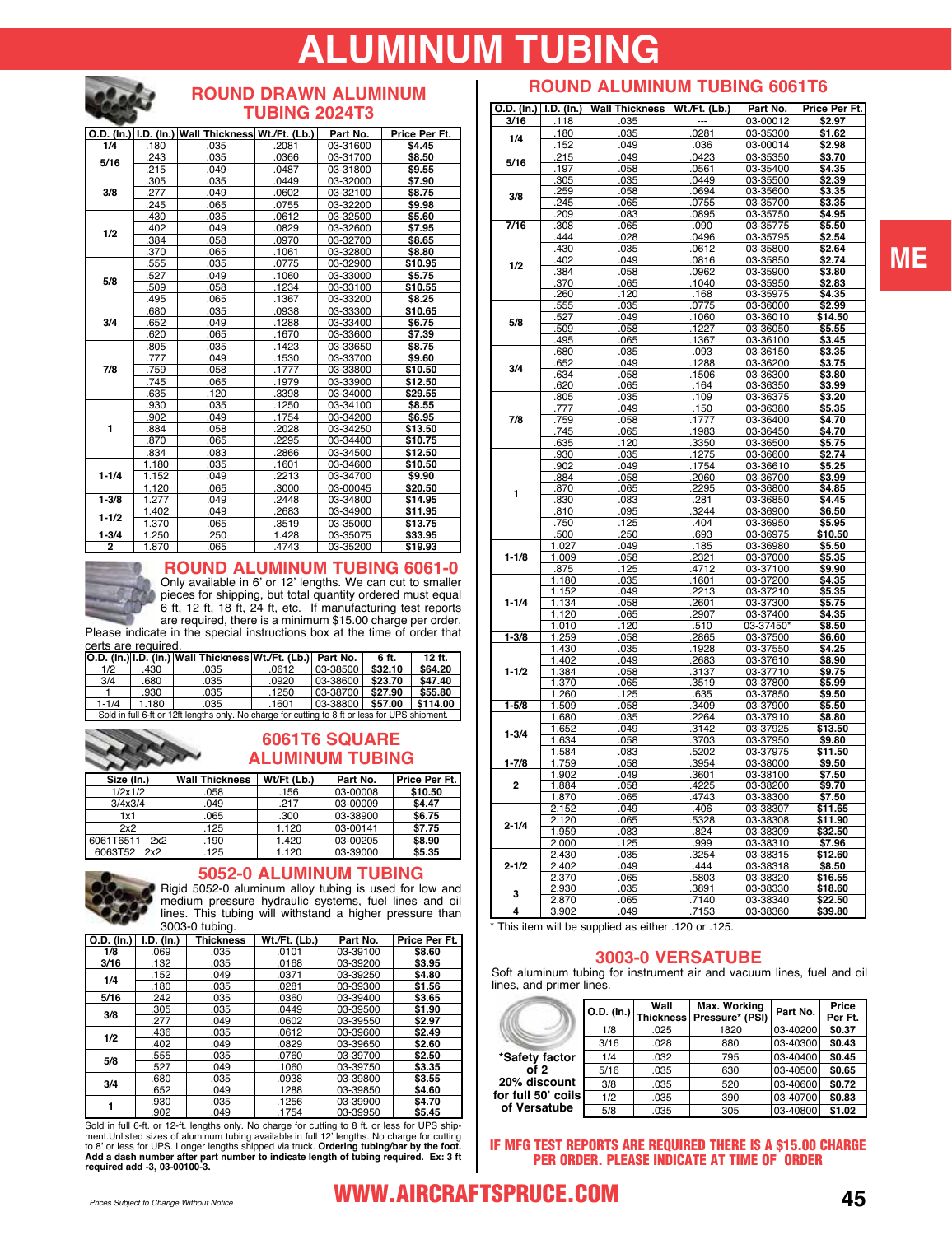# **IMINUM TUBING**



#### **ROUND DRAWN ALUMINUM TUBING 2024T3**

|                |       | O.D. (In.) I.D. (In.) Wall Thickness Wt./Ft. (Lb.) |       | Part No. | Price Per Ft. |
|----------------|-------|----------------------------------------------------|-------|----------|---------------|
| 1/4            | .180  | .035                                               | .2081 | 03-31600 | \$4.45        |
| 5/16           | .243  | .035                                               | .0366 | 03-31700 | \$8.50        |
|                | .215  | .049                                               | .0487 | 03-31800 | \$9.55        |
|                | .305  | .035                                               | .0449 | 03-32000 | \$7.90        |
| 3/8            | .277  | .049                                               | .0602 | 03-32100 | \$8.75        |
|                | .245  | .065                                               | .0755 | 03-32200 | \$9.98        |
|                | .430  | .035                                               | .0612 | 03-32500 | \$5.60        |
| 1/2            | .402  | .049                                               | .0829 | 03-32600 | \$7.95        |
|                | .384  | .058                                               | .0970 | 03-32700 | \$8.65        |
|                | .370  | .065                                               | .1061 | 03-32800 | \$8.80        |
|                | .555  | .035                                               | .0775 | 03-32900 | \$10.95       |
| 5/8            | .527  | .049                                               | .1060 | 03-33000 | \$5.75        |
|                | .509  | .058                                               | .1234 | 03-33100 | \$10.55       |
|                | .495  | .065                                               | .1367 | 03-33200 | \$8.25        |
|                | .680  | .035                                               | .0938 | 03-33300 | \$10.65       |
| 3/4            | .652  | .049                                               | .1288 | 03-33400 | \$6.75        |
|                | .620  | .065                                               | .1670 | 03-33600 | \$7.39        |
|                | .805  | .035                                               | .1423 | 03-33650 | \$8.75        |
|                | .777  | .049                                               | .1530 | 03-33700 | \$9.60        |
| 7/8            | .759  | .058                                               | .1777 | 03-33800 | \$10.50       |
|                | .745  | .065                                               | .1979 | 03-33900 | \$12.50       |
|                | .635  | .120                                               | .3398 | 03-34000 | \$29.55       |
|                | .930  | .035                                               | .1250 | 03-34100 | \$8.55        |
|                | .902  | .049                                               | .1754 | 03-34200 | \$6.95        |
| 1              | .884  | .058                                               | .2028 | 03-34250 | \$13.50       |
|                | .870  | .065                                               | .2295 | 03-34400 | \$10.75       |
|                | .834  | .083                                               | .2866 | 03-34500 | \$12.50       |
|                | 1.180 | .035                                               | .1601 | 03-34600 | \$10.50       |
| $1 - 1/4$      | 1.152 | .049                                               | .2213 | 03-34700 | \$9.90        |
|                | 1.120 | .065                                               | .3000 | 03-00045 | \$20.50       |
| $1 - 3/8$      | 1.277 | .049                                               | .2448 | 03-34800 | \$14.95       |
| $1 - 1/2$      | 1.402 | .049                                               | .2683 | 03-34900 | \$11.95       |
|                | 1.370 | .065                                               | .3519 | 03-35000 | \$13.75       |
| $1 - 3/4$      | 1.250 | .250                                               | 1.428 | 03-35075 | \$33.95       |
| $\overline{2}$ | 1.870 | .065                                               | .4743 | 03-35200 | \$19.93       |



#### **ROUND ALUMINUM TUBING 6061-0** Only available in 6' or 12' lengths. We can cut to smaller

pieces for shipping, but total quantity ordered must equal 6 ft, 12 ft, 18 ft, 24 ft, etc. If manufacturing test reports are required, there is a minimum \$15.00 charge per order. Please indicate in the special instructions box at the time of order that

**O.D. (In.) I.D. (In.) Wall Thickness Wt./Ft. (Lb.) Part No. 6 ft. 12 ft.**  certs are required.

| 1/2       | .430                                                     | .035                                                                                            | .0612 | 03-38500 | \$32.10 | \$64.20 |
|-----------|----------------------------------------------------------|-------------------------------------------------------------------------------------------------|-------|----------|---------|---------|
| 3/4       | 680                                                      | .035                                                                                            | .0920 | 03-38600 | \$23.70 | \$47.40 |
|           | .930                                                     | .035                                                                                            | 1250  | 03-38700 | \$27.90 | \$55.80 |
| $1 - 1/4$ | 1.180<br>03-38800<br>\$57.00<br>\$114.00<br>1601<br>.035 |                                                                                                 |       |          |         |         |
|           |                                                          | Sold in full 6-ft or 12ft lengths only. No charge for cutting to 8 ft or less for UPS shipment. |       |          |         |         |

#### **6061T6 SQUARE ALUMINUM TUBING**

| Size (In.)       | <b>Wall Thickness</b> | Wt/Ft (Lb.) | Part No. | Price Per Ft. |
|------------------|-----------------------|-------------|----------|---------------|
| 1/2x1/2          | .058                  | .156        | 03-00008 | \$10.50       |
| 3/4x3/4          | .049                  | .217        | 03-00009 | \$4.47        |
| 1x1              | .065                  | .300        | 03-38900 | \$6.75        |
| 2x2              | .125                  | 1.120       | 03-00141 | \$7.75        |
| 6061T6511<br>2x2 | .190                  | 1.420       | 03-00205 | \$8.90        |
| 6063T52<br>2x2   | .125                  | 1.120       | 03-39000 | \$5.35        |



**5052-0 ALUMINUM TUBING**

Rigid 5052-0 aluminum alloy tubing is used for low and medium pressure hydraulic systems, fuel lines and oil lines. This tubing will withstand a higher pressure than [3003-0 tubing.](https://www.aircraftspruce.com/catalog/mepages/alumtube_5052.php)

| O.D. (In.) | I.D. (In.) | <b>Thickness</b> | Wt./Ft. (Lb.) | Part No. | Price Per Ft. |
|------------|------------|------------------|---------------|----------|---------------|
| 1/8        | .069       | .035             | .0101         | 03-39100 | \$8.60        |
| 3/16       | .132       | .035             | .0168         | 03-39200 | \$3.95        |
| 1/4        | .152       | .049             | .0371         | 03-39250 | \$4.80        |
|            | .180       | .035             | .0281         | 03-39300 | \$1.56        |
| 5/16       | .242       | .035             | .0360         | 03-39400 | \$3.65        |
| 3/8        | .305       | .035             | .0449         | 03-39500 | \$1.90        |
|            | .277       | .049             | .0602         | 03-39550 | \$2.97        |
| 1/2        | .436       | .035             | .0612         | 03-39600 | \$2.49        |
|            | .402       | .049             | .0829         | 03-39650 | \$2.60        |
| 5/8        | .555       | .035             | .0760         | 03-39700 | \$2.50        |
|            | .527       | .049             | .1060         | 03-39750 | \$3.35        |
| 3/4        | .680       | .035             | .0938         | 03-39800 | \$3.55        |
|            | .652       | .049             | .1288         | 03-39850 | \$4.60        |
|            | .930       | .035             | .1256         | 03-39900 | \$4.70        |
|            | .902       | .049             | .1754         | 03-39950 | \$5.45        |

Sold in full 6-ft. or 12-ft. lengths only. No charge for cutting to 8 ft. or less for UPS shipment.Unlisted sizes of aluminum tubing available in full 12' lengths. No charge for cutting to 8' or less for UPS. Longer length

## **ROUND ALUMINUM TUBING 6061T6**

| O.D. (ln.)   I.D. (ln.) |             | Wall Thickness | <u>Wt./Ft. (Lb.)</u> | Part No.             | Price Per Ft.    |
|-------------------------|-------------|----------------|----------------------|----------------------|------------------|
| 3/16                    | .118        | .035           |                      | 03-00012             | \$2.97           |
|                         | .180        | .035           | .0281                | 03-35300             | \$1.62           |
| 1/4                     | 152         | .049           | .036                 | 03-00014             | \$2.98           |
|                         | 215         | 049            | 0423                 | 03-35350             | \$3.70           |
| 5/16                    | 197         | 058.           | .0561                | 03-35400             | \$4.35           |
|                         | 305         | .035           | .0449                | 03-35500             | \$2.39           |
|                         | <u>.259</u> | .058           | .0694                | 03-35600             | <u>\$3.35</u>    |
| 3/8                     | .245        | .065           | .0755                | 03-35700             | \$3.35           |
|                         | .209        | .083           | .0895                | 03-35750             | \$4.95           |
| 7/16                    | .308        | .065           | .090                 | 03-35775             | \$5.50           |
|                         | 444         | .028           | 0496                 | 03-35795             | \$2.54           |
|                         | 430         | .035           | .0612                | 03-35800             | \$2.64           |
|                         | 402         | 049            | 0816                 | 03-35850             | \$2.74           |
| 1/2                     | 384         |                |                      | 03-35900             | \$3.80           |
|                         | 370         | .058<br>.065   | .0962<br>.1040       | 03-35950             | \$2.83           |
|                         |             |                |                      |                      |                  |
|                         | 260         | <u>.120</u>    | <u>.168</u>          | 03-35975             | \$4.35           |
|                         | 555         | .035           | .0775                | 03-36000             | \$2.99           |
| 5/8                     | .527        | .049           | .1060                | 03-36010             | \$14.50          |
|                         | 509         | .058           | .1227                | 03-36050             | \$5.55           |
|                         | 495         | .065           | .1367                | 03-36100             | \$3.45           |
|                         | 680         | .035           | .093                 | 03-36150             | \$3.35           |
| 3/4                     | 652         | .049           | 1288                 | 03-36200             | \$3.75           |
|                         | 634         | .058           | 1506                 | 03-36300             | \$3.80           |
|                         | 620         | .065           | .164                 | 03-36350             | \$3.99           |
|                         | 805         | .035           | .109                 | 03-36375             | \$3.20           |
|                         | .777        | .049           | .150                 | 03-36380             | <u>\$5.35</u>    |
| 7/8                     | .759        | .058           | .1777                | 03-36400             | \$4.70           |
|                         | .745        | .065           | .1983                | 03-36450             | \$4.70           |
|                         | .635        | .120           | .3350                | 03-36500             | \$5.75           |
|                         | .930        | .035           | 1275                 | 03-36600             | \$2.74           |
|                         | 902         | .049           | 1754                 | 03-36610             | \$5.25           |
|                         | 884         | .058           | 2060                 | 03-36700             | \$3.99           |
| 1                       | .870        | .065           | .2295                | 03-36800             | \$4.85           |
|                         | 830         | .083           | .281                 | 03-36850             | \$4.45           |
|                         | .810        | .095           | .3244                | 03-36900             | \$6.50           |
|                         | .750        | 125            | 404                  | 03-36950             | \$5.95           |
|                         | 500         | .250           | .693                 | 03-36975             | \$10.50          |
|                         | 1.027       | .049           | .185                 | 03-36980             | \$5.50           |
| $1 - 1/8$               | 1.009       | .058           | 2321                 | 03-37000             | \$5.35           |
|                         | 875         | 125            | 4712                 | 03-37100             | \$9.90           |
|                         | 1.180       | .035           | 1601                 | 03-37200             | \$4.35           |
|                         | 1.152       | .049           | 2213                 | 03-37210             | \$5.35           |
| $1 - 1/4$               | 1.134       | .058           | 2601                 | 03-37300             | \$5.75           |
|                         | 1.120       | .065           | 2907                 | 03-37400             | \$4.35           |
|                         | 1.010       | .120           | 510                  | 03-37450             | \$8.50           |
| $1 - 3/8$               | 1.259       | .058           | .2865                | 03-37500             | \$6.60           |
|                         | 1.430       | .035           | .1928                | 03-37550             | \$4.25           |
|                         | 1.402       | .049           | .2683                | 03-37610             | \$8.90           |
| $1 - 1/2$               | 1.384       | 058            | 3137                 | 03-37710             | \$9.75           |
|                         |             |                |                      |                      |                  |
|                         | 1.370       | .065           | 3519<br>.635         | 03-37800<br>03-37850 | \$5.99<br>\$9.50 |
|                         | 1.260       | 125            |                      |                      |                  |
| $1 - 5/8$               | 1.509       | .058           | 3409                 | 03-37900             | \$5.50           |
|                         | 1.680       | .035           | 2264                 | 03-37910             | \$8.80           |
| $1 - 3/4$               | 1.652       | .049           | .3142                | 03-37925             | \$13.50          |
|                         | 1.634       | .058           | .3703                | 03-37950             | \$9.80           |
|                         | 1.584       | .083           | .5202                | 03-37975             | \$11.50          |
| $1 - 7/8$               | 1.759       | .058           | 3954                 | 03-38000             | \$9.50           |
|                         | 1.902       | 049            | 3601                 | 03-38100             | \$7.50           |
| 2                       | 1.884       | 058            | 4225                 | 03-38200             | \$9.70           |
|                         | 1.870       | .065           | 4743                 | 03-38300             | \$7.50           |
|                         | 2.152       | .049           | 406                  | 03-38307             | \$11.65          |
| $2 - 1/4$               | 2.120       | .065           | 5328                 | 03-38308             | \$11.90          |
|                         | 1.959       | .083           | .824                 | 03-38309             | \$32.50          |
|                         | 2.000       | .125           | .999                 | 03-38310             | \$7.96           |
|                         | 2.430       | .035           | .3254                | 03-38315             | \$12.60          |
| $2 - 1/2$               | 2.402       | .049           | .444                 | 03-38318             | \$8.50           |
|                         | 2.370       | .065           | .5803                | 03-38320             | \$16.55          |
| 3                       | 2.930       | 035            | 3891                 | 03-38330             | \$18.60          |
|                         | 2.870       | .065           | .7140                | 03-38340             | \$22.50          |
| 4                       | 3.902       | .049           | .7153                | 03-38360             | \$39.80          |

This item will be supplied as either .120 or .125.

#### **3003-0 VERSATUBE**

Soft aluminum tubing for instrument air and vacuum lines, fuel and oil lines, and primer lines.

|                    |      | Wall | Max. Working<br>O.D. (In.) Thickness Pressure* (PSI) | Part No. | Price<br>Per Ft. |
|--------------------|------|------|------------------------------------------------------|----------|------------------|
|                    | 1/8  | .025 | 1820                                                 | 03-40200 | \$0.37           |
|                    | 3/16 | .028 | 880                                                  | 03-40300 | \$0.43           |
| *Safety factor     | 1/4  | .032 | 795                                                  | 03-40400 | \$0.45           |
| of 2               | 5/16 | .035 | 630                                                  | 03-40500 | \$0.65           |
| 20% discount       | 3/8  | .035 | 520                                                  | 03-40600 | \$0.72           |
| for full 50' coils | 1/2  | .035 | 390                                                  | 03-40700 | \$0.83           |
| of Versatube       | 5/8  | .035 | 305                                                  | 03-40800 | \$1.02           |

IF MFG TEST REPORTS ARE REQUIRED THERE IS A \$15.00 CHARGE PER ORDER. PLEASE INDICATE AT TIME OF ORDER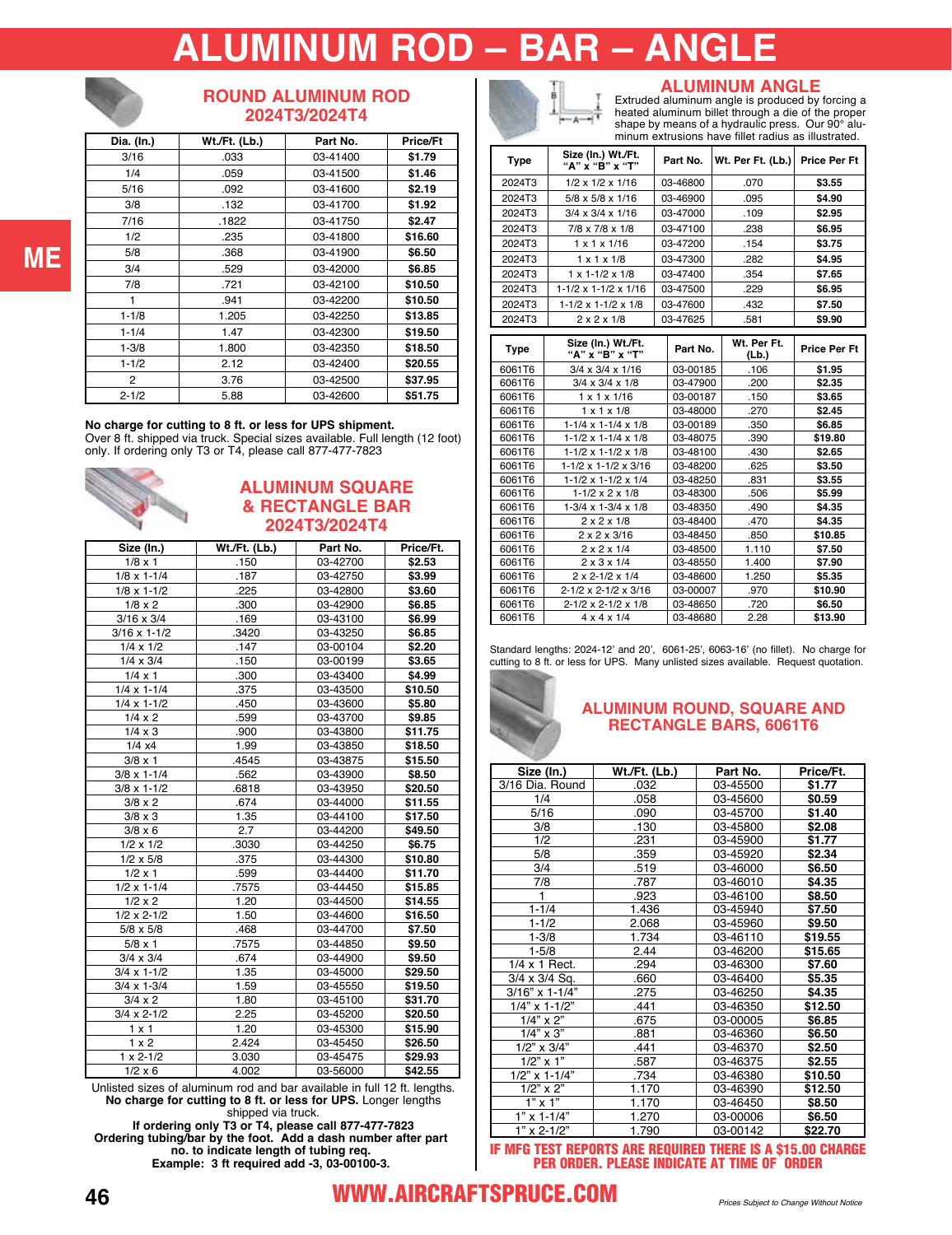# **ALUMINUM ROD – BAR – ANGLE**



#### **ROUND ALUMINUM ROD 2024T3/2024T4**

| Dia. (In.)     | Wt./Ft. (Lb.) | Part No. | <b>Price/Ft</b> |
|----------------|---------------|----------|-----------------|
| 3/16           | .033          | 03-41400 | \$1.79          |
| 1/4            | .059          | 03-41500 | \$1.46          |
| 5/16           | .092          | 03-41600 | \$2.19          |
| 3/8            | .132          | 03-41700 | \$1.92          |
| 7/16           | .1822         | 03-41750 | \$2.47          |
| 1/2            | .235          | 03-41800 | \$16.60         |
| 5/8            | .368          | 03-41900 | \$6.50          |
| 3/4            | .529          | 03-42000 | \$6.85          |
| 7/8            | .721          | 03-42100 | \$10.50         |
|                | .941          | 03-42200 | \$10.50         |
| $1 - 1/8$      | 1.205         | 03-42250 | \$13.85         |
| $1 - 1/4$      | 1.47          | 03-42300 | \$19.50         |
| $1 - 3/8$      | 1.800         | 03-42350 | \$18.50         |
| $1 - 1/2$      | 2.12          | 03-42400 | \$20.55         |
| $\overline{2}$ | 3.76          | 03-42500 | \$37.95         |
| $2 - 1/2$      | 5.88          | 03-42600 | \$51.75         |

#### **No charge for cutting to 8 ft. or less for UPS shipment.**

Over 8 ft. shipped via truck. Special sizes available. Full length (12 foot) only. If ordering only T3 or T4, please call 877-477-7823

#### **ALUMINUM SQUARE & RECTANGLE BAR 2024T3/2024T4**

| $1/8 \times 1$<br>$1/8 \times 1 - 1/4$<br>$1/8 \times 1 - 1/2$<br>$1/8 \times 2$<br>$3/16 \times 3/4$<br>$3/16 \times 1 - 1/2$ | .150<br>.187<br>.225<br>.300<br>.169<br>.3420<br>.147<br>.150<br>.300<br>.375 | 03-42700<br>03-42750<br>03-42800<br>03-42900<br>03-43100<br>03-43250<br>03-00104<br>03-00199<br>03-43400 | \$2.53<br>\$3.99<br>\$3.60<br>\$6.85<br>\$6.99<br>\$6.85<br>\$2.20<br>\$3.65 |
|--------------------------------------------------------------------------------------------------------------------------------|-------------------------------------------------------------------------------|----------------------------------------------------------------------------------------------------------|------------------------------------------------------------------------------|
|                                                                                                                                |                                                                               |                                                                                                          |                                                                              |
|                                                                                                                                |                                                                               |                                                                                                          |                                                                              |
|                                                                                                                                |                                                                               |                                                                                                          |                                                                              |
|                                                                                                                                |                                                                               |                                                                                                          |                                                                              |
|                                                                                                                                |                                                                               |                                                                                                          |                                                                              |
|                                                                                                                                |                                                                               |                                                                                                          |                                                                              |
| $1/4 \times 1/2$                                                                                                               |                                                                               |                                                                                                          |                                                                              |
| $1/4 \times 3/4$                                                                                                               |                                                                               |                                                                                                          |                                                                              |
| $1/4 \times 1$                                                                                                                 |                                                                               |                                                                                                          | \$4.99                                                                       |
| $1/4 \times 1 - 1/4$                                                                                                           |                                                                               | 03-43500                                                                                                 | \$10.50                                                                      |
| $1/4 \times 1 - 1/2$                                                                                                           | .450                                                                          | 03-43600                                                                                                 | \$5.80                                                                       |
| $1/4 \times 2$                                                                                                                 | .599                                                                          | 03-43700                                                                                                 | \$9.85                                                                       |
| $1/4 \times 3$                                                                                                                 | .900                                                                          | 03-43800                                                                                                 | \$11.75                                                                      |
| $1/4 \times 4$                                                                                                                 | 1.99                                                                          | 03-43850                                                                                                 | \$18.50                                                                      |
| $3/8 \times 1$                                                                                                                 | .4545                                                                         | 03-43875                                                                                                 | \$15.50                                                                      |
| $3/8 \times 1 - 1/4$                                                                                                           | .562                                                                          | 03-43900                                                                                                 | \$8.50                                                                       |
| $3/8 \times 1 - 1/2$                                                                                                           | .6818                                                                         | 03-43950                                                                                                 | \$20.50                                                                      |
| $3/8 \times 2$                                                                                                                 | .674                                                                          | 03-44000                                                                                                 | \$11.55                                                                      |
| $3/8 \times 3$                                                                                                                 | 1.35                                                                          | 03-44100                                                                                                 | \$17.50                                                                      |
| $3/8 \times 6$                                                                                                                 | 2.7                                                                           | 03-44200                                                                                                 | \$49.50                                                                      |
| $1/2 \times 1/2$                                                                                                               | .3030                                                                         | 03-44250                                                                                                 | \$6.75                                                                       |
| $1/2 \times 5/8$                                                                                                               | .375                                                                          | 03-44300                                                                                                 | \$10.80                                                                      |
| $1/2 \times 1$                                                                                                                 | .599                                                                          | 03-44400                                                                                                 | \$11.70                                                                      |
| $1/2 \times 1 - 1/4$                                                                                                           | .7575                                                                         | 03-44450                                                                                                 | \$15.85                                                                      |
| $1/2 \times 2$                                                                                                                 | 1.20                                                                          | 03-44500                                                                                                 | \$14.55                                                                      |
| $1/2 \times 2 - 1/2$                                                                                                           | 1.50                                                                          | 03-44600                                                                                                 | \$16.50                                                                      |
| $5/8 \times 5/8$                                                                                                               | .468                                                                          | 03-44700                                                                                                 | \$7.50                                                                       |
| $5/8 \times 1$                                                                                                                 | .7575                                                                         | 03-44850                                                                                                 | \$9.50                                                                       |
| $3/4 \times 3/4$                                                                                                               | .674                                                                          | 03-44900                                                                                                 | \$9.50                                                                       |
| $3/4 \times 1 - 1/2$                                                                                                           | 1.35                                                                          | 03-45000                                                                                                 | \$29.50                                                                      |
| $3/4 \times 1 - 3/4$                                                                                                           | 1.59                                                                          | 03-45550                                                                                                 | \$19.50                                                                      |
| $3/4 \times 2$                                                                                                                 | 1.80                                                                          | 03-45100                                                                                                 | \$31.70                                                                      |
| $3/4 \times 2 - 1/2$                                                                                                           | 2.25                                                                          | 03-45200                                                                                                 | \$20.50                                                                      |
| $1 \times 1$                                                                                                                   | 1.20                                                                          | 03-45300                                                                                                 | \$15.90                                                                      |
| $1 \times 2$                                                                                                                   | 2.424                                                                         | 03-45450                                                                                                 | \$26.50                                                                      |
| $1 \times 2 - 1/2$                                                                                                             | 3.030                                                                         | 03-45475                                                                                                 | \$29.93                                                                      |
| $1/2 \times 6$                                                                                                                 | 4.002                                                                         | 03-56000                                                                                                 | \$42.55                                                                      |

Unlisted sizes of aluminum rod and bar available in full 12 ft. lengths. **No charge for cutting to 8 ft. or less for UPS.** Longer lengths

shipped via truck. **If ordering only T3 or T4, please call 877-477-7823 Ordering tubing/bar by the foot. Add a dash number after part no. to indicate length of tubing req. Example: 3 ft required add -3, [03-00100-3](https://www.aircraftspruce.com/catalog/pnpages/03-00100-3.php).**

-A

### **ALUMINUM ANGLE**

Extruded aluminum angle is produced by forcing a heated aluminum billet through a die of the proper shape by means of a hydraulic press. Our 90° aluminum extrusions have fillet radius as illustrated.

| Type   | Size (In.) Wt./Ft.<br>"А" х̀ "В" х "Т" | Part No. | Wt. Per Ft. (Lb.)    | <b>Price Per Ft</b> |
|--------|----------------------------------------|----------|----------------------|---------------------|
| 2024T3 | $1/2 \times 1/2 \times 1/16$           | 03-46800 | .070                 | \$3.55              |
| 2024T3 | $5/8 \times 5/8 \times 1/16$           | 03-46900 | .095                 | \$4.90              |
| 2024T3 | $3/4 \times 3/4 \times 1/16$           | 03-47000 | .109                 | \$2.95              |
| 2024T3 | 7/8 x 7/8 x 1/8                        | 03-47100 | .238                 | \$6.95              |
| 2024T3 | $1 \times 1 \times 1/16$               | 03-47200 | .154                 | \$3.75              |
| 2024T3 | $1 \times 1 \times 1/8$                | 03-47300 | .282                 | \$4.95              |
| 2024T3 | $1 \times 1 - 1/2 \times 1/8$          | 03-47400 | .354                 | \$7.65              |
| 2024T3 | $1-1/2 \times 1-1/2 \times 1/16$       | 03-47500 | .229                 | \$6.95              |
| 2024T3 | $1 - 1/2 \times 1 - 1/2 \times 1/8$    | 03-47600 | .432                 | \$7.50              |
| 2024T3 | $2 \times 2 \times 1/8$                | 03-47625 | .581                 | \$9.90              |
|        |                                        |          |                      |                     |
| Type   | Size (In.) Wt./Ft.<br>"A" x "B" x "T"  | Part No. | Wt. Per Ft.<br>(Lb.) | <b>Price Per Ft</b> |
| 6061T6 | $3/4 \times 3/4 \times 1/16$           | 03-00185 | .106                 | \$1.95              |
| 6061T6 | $3/4 \times 3/4 \times 1/8$            | 03-47900 | .200                 | \$2.35              |
| 6061T6 | $1 \times 1 \times 1/16$               | 03-00187 | .150                 | \$3.65              |
| 6061T6 | $1 \times 1 \times 1/8$                | 03-48000 | .270                 | \$2.45              |

|        | .                                    |          | (∟w. j |         |
|--------|--------------------------------------|----------|--------|---------|
| 6061T6 | $3/4 \times 3/4 \times 1/16$         | 03-00185 | .106   | \$1.95  |
| 6061T6 | $3/4 \times 3/4 \times 1/8$          | 03-47900 | .200   | \$2.35  |
| 6061T6 | $1 \times 1 \times 1/16$             | 03-00187 | .150   | \$3.65  |
| 6061T6 | $1 \times 1 \times 1/8$              | 03-48000 | .270   | \$2.45  |
| 6061T6 | $1-1/4 \times 1-1/4 \times 1/8$      | 03-00189 | .350   | \$6.85  |
| 6061T6 | $1-1/2 \times 1-1/4 \times 1/8$      | 03-48075 | .390   | \$19.80 |
| 6061T6 | 1-1/2 x 1-1/2 x 1/8                  | 03-48100 | .430   | \$2.65  |
| 6061T6 | 1-1/2 x 1-1/2 x 3/16                 | 03-48200 | .625   | \$3.50  |
| 6061T6 | 1-1/2 x 1-1/2 x 1/4                  | 03-48250 | .831   | \$3.55  |
| 6061T6 | $1 - 1/2 \times 2 \times 1/8$        | 03-48300 | .506   | \$5.99  |
| 6061T6 | $1-3/4 \times 1-3/4 \times 1/8$      | 03-48350 | .490   | \$4.35  |
| 6061T6 | $2 \times 2 \times 1/8$              | 03-48400 | .470   | \$4.35  |
| 6061T6 | $2 \times 2 \times 3/16$             | 03-48450 | .850   | \$10.85 |
| 6061T6 | $2 \times 2 \times 1/4$              | 03-48500 | 1.110  | \$7.50  |
| 6061T6 | $2 \times 3 \times 1/4$              | 03-48550 | 1.400  | \$7.90  |
| 6061T6 | $2 \times 2 - 1/2 \times 1/4$        | 03-48600 | 1.250  | \$5.35  |
| 6061T6 | $2 - 1/2 \times 2 - 1/2 \times 3/16$ | 03-00007 | .970   | \$10.90 |
| 6061T6 | $2 - 1/2 \times 2 - 1/2 \times 1/8$  | 03-48650 | .720   | \$6.50  |
| 6061T6 | $4 \times 4 \times 1/4$              | 03-48680 | 2.28   | \$13.90 |

Standard lengths: 2024-12' and 20', 6061-25', 6063-16' (no fillet). No charge for cutting to 8 ft. or less for UPS. Many unlisted sizes available. Request quotation.

#### **ALUMINUM ROUND, SQUARE AND RECTANGLE BARS, 6061T6**

| Size (In.)          | <b>Wt./Ft. (Lb.)</b> | Part No. | Price/Ft. |
|---------------------|----------------------|----------|-----------|
| 3/16 Dia. Round     | .032                 | 03-45500 | \$1.77    |
| 1/4                 | .058                 | 03-45600 | \$0.59    |
| 5/16                | .090                 | 03-45700 | \$1.40    |
| 3/8                 | .130                 | 03-45800 | \$2.08    |
| 1/2                 | .231                 | 03-45900 | \$1.77    |
| 5/8                 | .359                 | 03-45920 | \$2.34    |
| 3/4                 | .519                 | 03-46000 | \$6.50    |
| 7/8                 | .787                 | 03-46010 | \$4.35    |
| $\overline{1}$      | .923                 | 03-46100 | \$8.50    |
| $1 - 1/4$           | 1.436                | 03-45940 | \$7.50    |
| $1 - 1/2$           | 2.068                | 03-45960 | \$9.50    |
| $1 - 3/8$           | 1.734                | 03-46110 | \$19.55   |
| $1 - 5/8$           | 2.44                 | 03-46200 | \$15.65   |
| 1/4 x 1 Rect.       | .294                 | 03-46300 | \$7.60    |
| 3/4 x 3/4 Sq.       | .660                 | 03-46400 | \$5.35    |
| 3/16" x 1-1/4"      | .275                 | 03-46250 | \$4.35    |
| $1/4$ " x 1-1/2"    | .441                 | 03-46350 | \$12.50   |
| $1/4$ " x 2"        | .675                 | 03-00005 | \$6.85    |
| $1/4$ " x 3"        | .881                 | 03-46360 | \$6.50    |
| $1/2$ " x $3/4$ "   | .441                 | 03-46370 | \$2.50    |
| $1/2$ " $\times$ 1" | .587                 | 03-46375 | \$2.55    |
| $1/2$ " x 1-1/4"    | .734                 | 03-46380 | \$10.50   |
| $1/2$ " x $2$ "     | 1.170                | 03-46390 | \$12.50   |
| $1" \times 1"$      | 1.170                | 03-46450 | \$8.50    |
| $1"$ x 1-1/4"       | 1.270                | 03-00006 | \$6.50    |
| $1"$ x 2-1/2"       | 1.790                | 03-00142 | \$22.70   |

IF MFG TEST REPORTS ARE REQUIRED THERE IS A \$15.00 CHARGE PER ORDER. PLEASE INDICATE AT TIME OF ORDER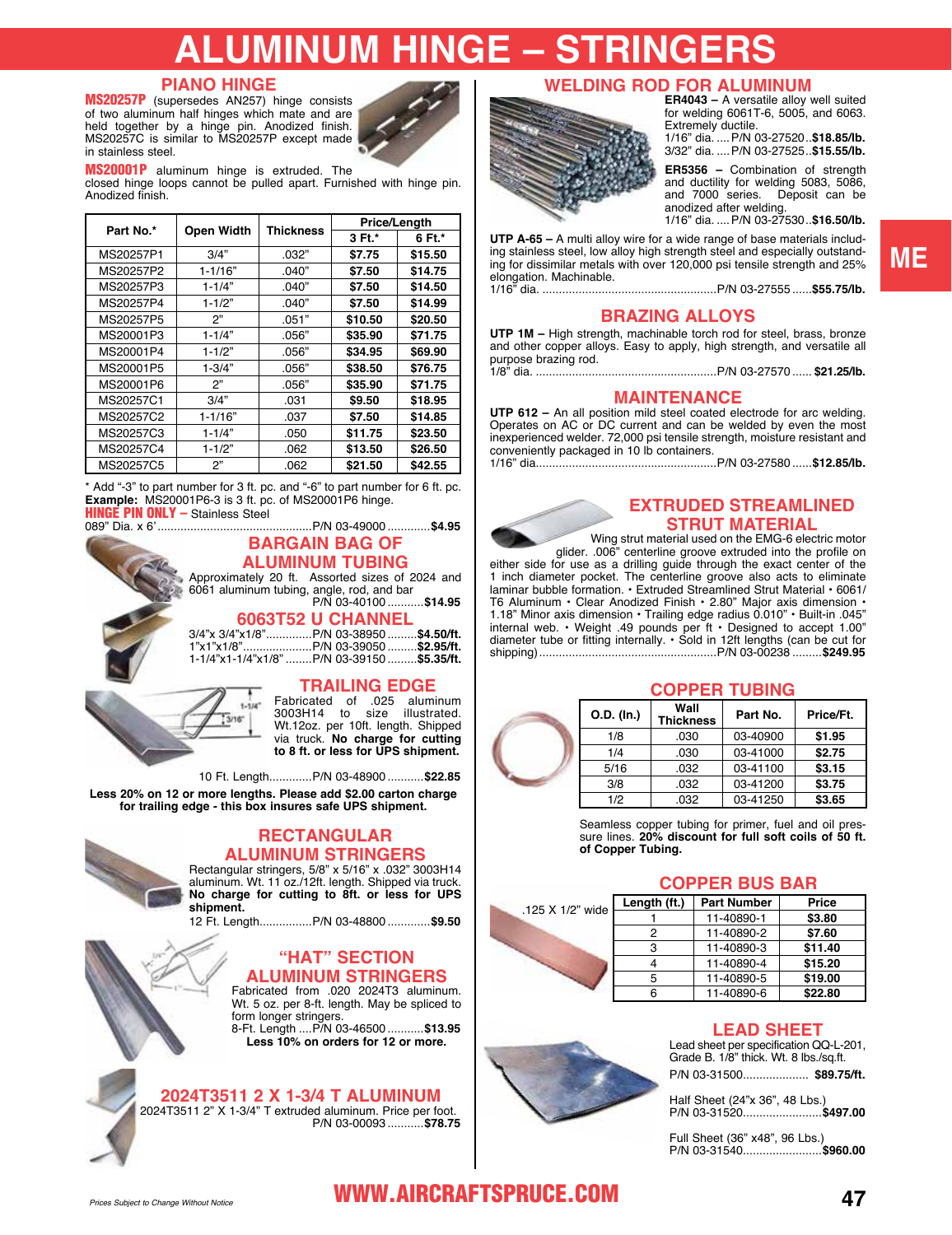# **JMINUM HINGE – STRINGE**

#### **PIANO HINGE**

MS20257P (supersedes AN257) hinge consists of two aluminum half hinges which mate and are held together by a hinge pin. Anodized finish. MS20257C is similar to MS20257P except made in stainless steel.



#### MS20001P aluminum hinge is extruded. The

closed hinge loops cannot be pulled apart. Furnished with hinge pin. Anodized finish.

|           |             |                  | Price/Length |         |
|-----------|-------------|------------------|--------------|---------|
| Part No.* | Open Width  | <b>Thickness</b> | 3 Ft.*       | 6 Ft.*  |
| MS20257P1 | 3/4"        | .032"            | \$7.75       | \$15.50 |
| MS20257P2 | $1 - 1/16"$ | .040"            | \$7.50       | \$14.75 |
| MS20257P3 | $1 - 1/4"$  | .040"            | \$7.50       | \$14.50 |
| MS20257P4 | $1 - 1/2"$  | .040"            | \$7.50       | \$14.99 |
| MS20257P5 | 2"          | .051"            | \$10.50      | \$20.50 |
| MS20001P3 | $1 - 1/4"$  | .056"            | \$35.90      | \$71.75 |
| MS20001P4 | $1 - 1/2"$  | .056"            | \$34.95      | \$69.90 |
| MS20001P5 | $1 - 3/4"$  | .056"            | \$38.50      | \$76.75 |
| MS20001P6 | 2"          | .056"            | \$35.90      | \$71.75 |
| MS20257C1 | 3/4"        | .031             | \$9.50       | \$18.95 |
| MS20257C2 | $1 - 1/16"$ | .037             | \$7.50       | \$14.85 |
| MS20257C3 | $1 - 1/4"$  | .050             | \$11.75      | \$23.50 |
| MS20257C4 | $1 - 1/2"$  | .062             | \$13.50      | \$26.50 |
| MS20257C5 | 2"          | .062             | \$21.50      | \$42.55 |

\* Add "-3" to part number for 3 ft. pc. and "-6" to part number for 6 ft. pc. **Example:** MS20001P6-3 is 3 ft. pc. of MS20001P6 hinge. **HINGE PIN ONLY - Stainless Steel** 

089" Dia. x 6'...............................................P/N [03-49000](https://www.aircraftspruce.com/catalog/pnpages/03-49000.php) .............**\$4.95 BARGAIN BAG OF ALUMINUM TUBING** Approximately 20 ft. Assorted sizes of 2024 and 6061 aluminum tubing, angle, rod, and bar P/N [03-40100](https://www.aircraftspruce.com/catalog/pnpages/03-40100.php) ...........**\$14.95**

**6063T52 U CHANNEL** 

|  | _______________                               |  |
|--|-----------------------------------------------|--|
|  | 3/4"x 3/4"x1/8"P/N 03-38950 <b>\$4.50/ft.</b> |  |
|  | 1"x1"x1/8"P/N 03-39050 <b>\$2.95/ft.</b>      |  |
|  | 1-1/4"x1-1/4"x1/8" P/N 03-39150  \$5.35/ft.   |  |
|  |                                               |  |

#### **TRAILING EDGE**

Fabricated of .025 aluminum 3003H14 to size illustrated. Wt.12oz. per 10ft. length. Shipped via truck. **No charge for cutting to 8 ft. or less for UPS shipment.**

10 Ft. Length.............P/N [03-48900](https://www.aircraftspruce.com/catalog/pnpages/03-48900.php) ...........**\$22.85**

**Less 20% on 12 or more lengths. Please add \$2.00 carton charge for trailing edge - this box insures safe UPS shipment.**

**SHAP** 

#### **RECTANGULAR ALUMINUM STRINGERS**

Rectangular stringers, 5/8" x 5/16" x .032" 3003H14 aluminum. Wt. 11 oz./12ft. length. Shipped via truck. **No charge for cutting to 8ft. or less for UPS shipment.**

12 Ft. Length................P/N [03-48800](https://www.aircraftspruce.com/catalog/pnpages/03-48800.php) .............**\$9.50**

# **"HAT" SECTION**

**ALUMINUM STRINGERS** Fabricated from .020 2024T3 aluminum. Wt. 5 oz. per 8-ft. length. May be spliced to form longer stringers. 8-Ft. Length ....P/N [03-46500](https://www.aircraftspruce.com/catalog/pnpages/03-46500.php) ...........**\$13.95**

**Less 10% on orders for 12 or more.**

#### **2024T3511 2 X 1-3/4 T ALUMINUM**

2024T3511 2" X 1-3/4" T extruded aluminum. Price per foot. P/N [03-00093](https://www.aircraftspruce.com/catalog/pnpages/03-00093.php) ...........**\$78.75**

# **WELDING ROD FOR ALUMINUM ER4043 –** A versatile alloy well suited

### for welding 6061T-6, 5005, and 6063. Extremely ductile.

1/16" dia. ....P/[N 03-27520](https://www.aircraftspruce.com/catalog/pnpages/03-27520.php)..**\$18.85/lb.** 3/32" dia. ....P/[N 03-27525](https://www.aircraftspruce.com/catalog/pnpages/03-27525.php)..**\$15.55/lb.**

**ER5356 –** Combination of strength and ductility for welding 5083, 5086, and 7000 series. Deposit can be and root sense.

1/16" dia. ....P/[N 03-27530](https://www.aircraftspruce.com/catalog/pnpages/03-27530.php)..**\$16.50/lb.**

**UTP A-65 –** A multi alloy wire for a wide range of base materials including stainless steel, low alloy high strength steel and especially outstanding for dissimilar metals with over 120,000 psi tensile strength and 25% elongation. Machinable.

1/16" dia. .....................................................P/[N 03-27555](https://www.aircraftspruce.com/catalog/pnpages/03-27555.php) ......**\$55.75/lb.**

#### **BRAZING ALLOYS**

**UTP 1M –** High strength, machinable torch rod for steel, brass, bronze and other copper alloys. Easy to apply, high strength, and versatile all purpose brazing rod.

1/8" dia. .......................................................P/[N 03-27570](https://www.aircraftspruce.com/catalog/pnpages/03-27570.php) ...... **\$21.25/lb.**

#### **MAINTENANCE**

**UTP 612 –** An all position mild steel coated electrode for arc welding. Operates on AC or DC current and can be welded by even the most inexperienced welder. 72,000 psi tensile strength, moisture resistant and conveniently packaged in 10 lb containers. 1/16" dia.......................................................P/[N 03-27580](https://www.aircraftspruce.com/catalog/pnpages/03-27580.php) ......**\$12.85/lb.**

#### **EXTRUDED STREAMLINED STRUT MATERIAL**

Wing strut material used on the EMG-6 electric motor glider. .006" centerline groove extruded into the profile on

either side for use as a drilling guide through the exact center of the 1 inch diameter pocket. The centerline groove also acts to eliminate laminar bubble formation. • Extruded Streamlined Strut Material • 6061/ T6 Aluminum • Clear Anodized Finish • 2.80" Major axis dimension • 1.18" Minor axis dimension • Trailing edge radius 0.010" • Built-in .045" internal web. • Weight .49 pounds per ft • Designed to accept 1.00" diameter tube or fitting internally. • Sold in 12ft lengths (can be cut for shipping)......................................................P/[N 03-00238](https://www.aircraftspruce.com/catalog/pnpages/03-00238.php) .........**\$249.95**

#### **COPPER TUBING**

| O.D. (In.) | Wall<br><b>Thickness</b> | Part No. | Price/Ft. |
|------------|--------------------------|----------|-----------|
| 1/8        | .030                     | 03-40900 | \$1.95    |
| 1/4        | .030                     | 03-41000 | \$2.75    |
| 5/16       | .032                     | 03-41100 | \$3.15    |
| 3/8        | .032                     | 03-41200 | \$3.75    |
| 1/2        | .032                     | 03-41250 | \$3.65    |

Seamless copper tubing for primer, fuel and oil pressure lines. **20% discount for full soft coils of 50 ft. of Copper Tubing.**

#### **COPPER BUS BAR**

| " wide | Length (ft.) | <b>Part Number</b> | Price   |
|--------|--------------|--------------------|---------|
|        |              | 11-40890-1         | \$3.80  |
|        | 2            | 11-40890-2         | \$7.60  |
|        | з            | 11-40890-3         | \$11.40 |
|        |              | 11-40890-4         | \$15.20 |
|        | 5            | 11-40890-5         | \$19.00 |
|        |              | 11-40890-6         | \$22.80 |

#### **LEAD SHEET**

Lead sheet per specification QQ-L-201, Grade B. 1/8" thick. Wt. 8 lbs./sq.ft. P/N [03-31500.](https://www.aircraftspruce.com/catalog/pnpages/03-31500.php)................... **\$89.75/ft.**

Half Sheet (24"x 36", 48 Lbs.) P/N [03-31520.](https://www.aircraftspruce.com/catalog/pnpages/03-31520.php).......................**\$497.00**

Full Sheet (36" x48", 96 Lbs.) P/N [03-31540.](https://www.aircraftspruce.com/catalog/pnpages/03-31540.php).......................**\$960.00**



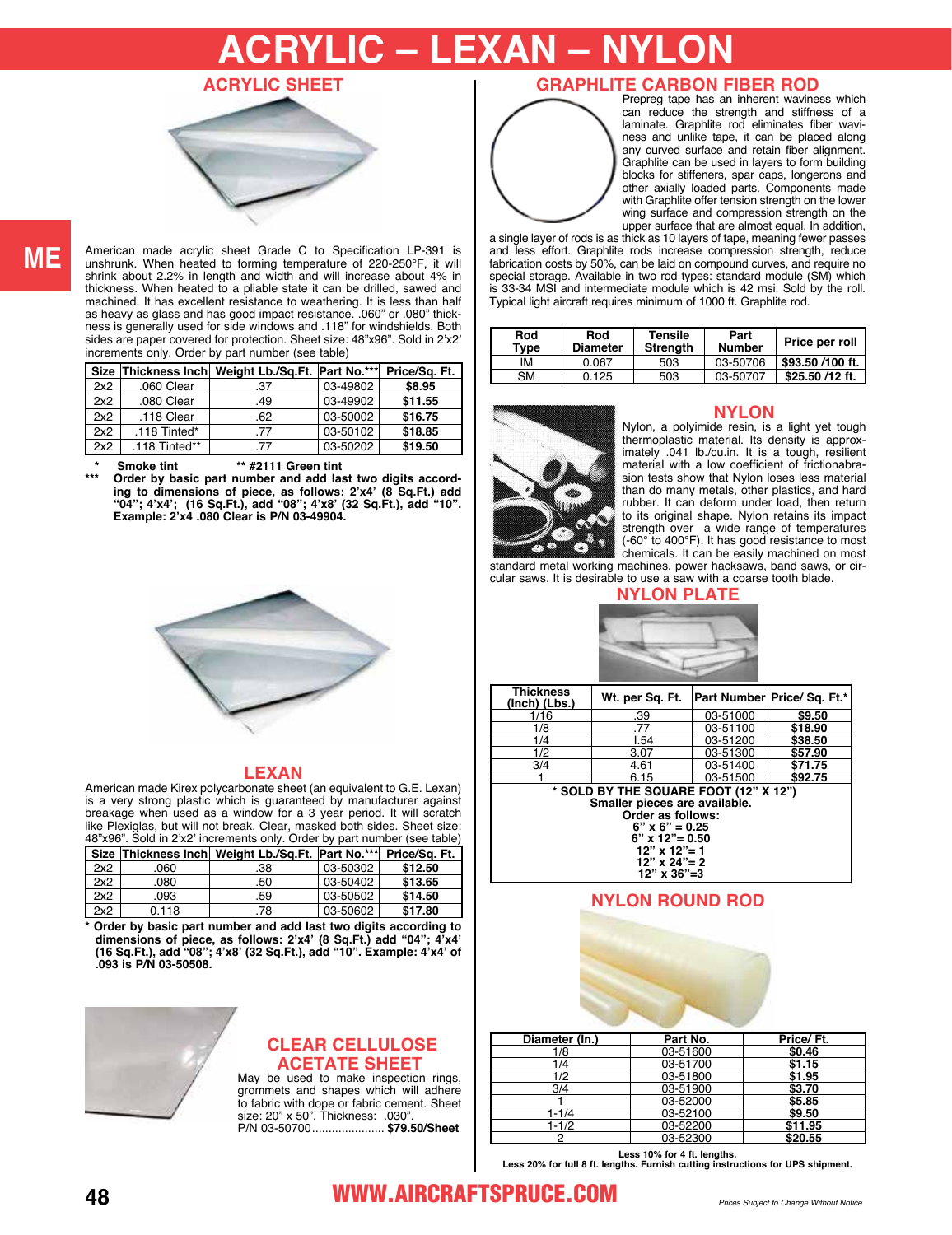# **ACRYLIC – LEXAN – NYLON**





**ME**

American made acrylic sheet Grade C to Specification LP-391 is unshrunk. When heated to forming temperature of 220-250°F, it will shrink about 2.2% in length and width and will increase about 4% in thickness. When heated to a pliable state it can be drilled, sawed and machined. It has excellent resistance to weathering. It is less than half as heavy as glass and has good impact resistance. .060" or .080" thickness is generally used for side windows and .118" for windshields. Both sides are paper covered for protection. Sheet size: 48"x96". Sold in 2'x2' increments only. Order by part number (see table)

|     |               | Size Thickness Inch Weight Lb./Sq.Ft. Part No.*** |          | Price/Sq. Ft. |
|-----|---------------|---------------------------------------------------|----------|---------------|
| 2x2 | .060 Clear    | .37                                               | 03-49802 | \$8.95        |
| 2x2 | .080 Clear    | .49                                               | 03-49902 | \$11.55       |
| 2x2 | .118 Clear    | .62                                               | 03-50002 | \$16.75       |
| 2x2 | .118 Tinted*  | .77                                               | 03-50102 | \$18.85       |
| 2x2 | .118 Tinted** | .77                                               | 03-50202 | \$19.50       |

**\* Smoke tint \*\* #2111 Green tint**

**\*\*\* Order by basic part number and add last two digits according to dimensions of piece, as follows: 2'x4' (8 Sq.Ft.) add "04"; 4'x4'; (16 Sq.Ft.), add "08"; 4'x8' (32 Sq.Ft.), add "10". Example: 2'x4 .080 Clear is P/N [03-49904.](https://www.aircraftspruce.com/catalog/pnpages/03-49904.php)**



#### **LEXAN**

American made Kirex polycarbonate sheet (an equivalent to G.E. Lexan) is a very strong plastic which is guaranteed by manufacturer against breakage when used as a window for a 3 year period. It will scratch like Plexiglas, but will not break. Clear, masked both sides. Sheet size: 48"x96". Sold in 2'x2' increments only. Order by part number (see table)

|     |       | Size Thickness Inch Weight Lb./Sq.Ft. Part No.*** |          | Price/Sq. Ft. |
|-----|-------|---------------------------------------------------|----------|---------------|
| 2x2 | .060  | .38                                               | 03-50302 | \$12.50       |
| 2x2 | .080  | .50                                               | 03-50402 | \$13.65       |
| 2x2 | .093  | .59                                               | 03-50502 | \$14.50       |
| 2x2 | 0.118 | .78                                               | 03-50602 | \$17.80       |

**\* Order by basic part number and add last two digits according to dimensions of piece, as follows: 2'x4' (8 Sq.Ft.) add "04"; 4'x4' (16 Sq.Ft.), add "08"; 4'x8' (32 Sq.Ft.), add "10". Example: 4'x4' of .093 is P/[N 03-50508](https://www.aircraftspruce.com/catalog/pnpages/03-50508.php).**



#### **CLEAR CELLULOSE ACETATE SHEET**

May be used to make inspection rings, grommets and shapes which will adhere to fabric with dope or fabric cement. Sheet size: 20" x 50". Thickness: .030". P/[N 03-50700](https://www.aircraftspruce.com/catalog/pnpages/03-50700.php)...................... **\$79.50/Sheet** 

#### **GRAPHLITE CARBON FIBER ROD**



Prepreg tape has an inherent waviness which can reduce the strength and stiffness of a laminate. Graphlite rod eliminates fiber waviness and unlike tape, it can be placed along any curved surface and retain fiber alignment. Graphlite can be used in layers to form building blocks for stiffeners, spar caps, longerons and other axially loaded parts. Components made with Graphlite offer tension strength on the lower wing surface and compression strength on the upper surface that are almost equal. In addition,

a single layer of rods is as thick as 10 layers of tape, meaning fewer passes and less effort. Graphlite rods increase compression strength, reduce fabrication costs by 50%, can be laid on compound curves, and require no special storage. Available in two rod types: standard module (SM) which i[s 33-34](https://www.aircraftspruce.com/catalog/pnpages/33-34.php) MSI and intermediate module which is 42 msi. Sold by the roll. Typical light aircraft requires minimum of 1000 ft. Graphlite rod.

| Rod<br>Type | Rod<br><b>Diameter</b> | <b>Tensile</b><br>Strenath | Part<br>Number | Price per roll   |
|-------------|------------------------|----------------------------|----------------|------------------|
| IM          | 0.067                  | 503                        | 03-50706       | \$93.50 /100 ft. |
| SM          | 0.125                  | 503                        | 03-50707       | \$25.50 /12 ft.  |



#### **NYLON**

Nylon, a polyimide resin, is a light yet tough thermoplastic material. Its density is approximately .041 lb./cu.in. It is a tough, resilient material with a low coefficient of frictionabrasion tests show that Nylon loses less material than do many metals, other plastics, and hard rubber. It can deform under load, then return to its original shape. Nylon retains its impact strength over a wide range of temperatures (-60° to 400°F). It has good resistance to most chemicals. It can be easily machined on most

standard metal working machines, power hacksaws, band saws, or circular saws. It is desirable to use a saw with a coarse tooth blade.



| <b>Thickness</b><br>(Inch) (Lbs.)                                                                                    | Wt. per Sq. Ft. |          | Part Number Price/ Sq. Ft.* |  |
|----------------------------------------------------------------------------------------------------------------------|-----------------|----------|-----------------------------|--|
| 1/16                                                                                                                 | .39             | 03-51000 | \$9.50                      |  |
| 1/8                                                                                                                  | .77             | 03-51100 | \$18.90                     |  |
| 1/4                                                                                                                  | 1.54            | 03-51200 | \$38.50                     |  |
| 1/2                                                                                                                  | 3.07            | 03-51300 | \$57.90                     |  |
| 3/4                                                                                                                  | 4.61            | 03-51400 | \$71.75                     |  |
|                                                                                                                      | 6.15            | 03-51500 | \$92.75                     |  |
| * SOLD BY THE SQUARE FOOT (12" X 12")<br>Smaller pieces are available.<br>Order as follows:<br>$6" \times 6" = 0.25$ |                 |          |                             |  |

**6" x 12"= 0.50 12" x 12"= 1 12" x 24"= 2 12" x 36"=3**

#### **NYLON ROUND ROD**

| Diameter (In.) | Part No. | Price/Ft. |  |  |  |
|----------------|----------|-----------|--|--|--|
| 1/8            | 03-51600 | \$0.46    |  |  |  |
| 1/4            | 03-51700 | \$1.15    |  |  |  |
| 1/2            | 03-51800 | \$1.95    |  |  |  |
| 3/4            | 03-51900 | \$3.70    |  |  |  |
|                | 03-52000 | \$5.85    |  |  |  |
| $1 - 1/4$      | 03-52100 | \$9.50    |  |  |  |
| $1 - 1/2$      | 03-52200 | \$11.95   |  |  |  |
|                | 03-52300 | \$20.55   |  |  |  |

**Less 10% for 4 ft. lengths. Less 20% for full 8 ft. lengths. Furnish cutting instructions for UPS shipment.**